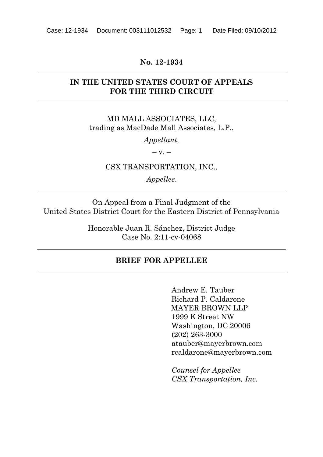#### **No. 12-1934**

### **IN THE UNITED STATES COURT OF APPEALS FOR THE THIRD CIRCUIT**

MD MALL ASSOCIATES, LLC, trading as MacDade Mall Associates, L.P.,

*Appellant,*

 $-V. -$ 

CSX TRANSPORTATION, INC.,

*Appellee*.

On Appeal from a Final Judgment of the United States District Court for the Eastern District of Pennsylvania

> Honorable Juan R. Sánchez, District Judge Case No. 2:11-cv-04068

### **BRIEF FOR APPELLEE**

Andrew E. Tauber Richard P. Caldarone MAYER BROWN LLP 1999 K Street NW Washington, DC 20006 (202) 263-3000 atauber@mayerbrown.com rcaldarone@mayerbrown.com

*Counsel for Appellee CSX Transportation, Inc.*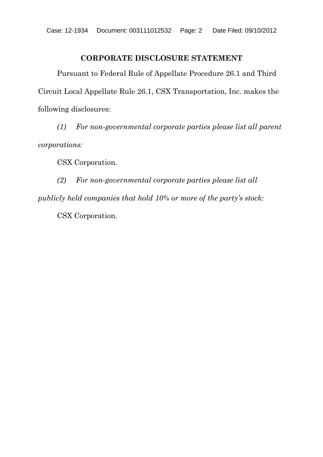### **CORPORATE DISCLOSURE STATEMENT**

Pursuant to Federal Rule of Appellate Procedure 26.1 and Third Circuit Local Appellate Rule 26.1, CSX Transportation, Inc. makes the following disclosures:

*(1) For non-governmental corporate parties please list all parent corporations:*

CSX Corporation.

*(2) For non-governmental corporate parties please list all publicly held companies that hold 10% or more of the party's stock:*

CSX Corporation.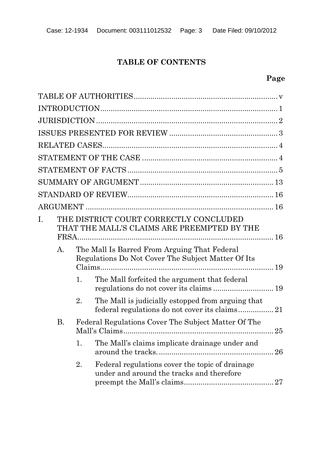## **TABLE OF CONTENTS**

## **Page**

| THE DISTRICT COURT CORRECTLY CONCLUDED<br>I.<br>THAT THE MALL'S CLAIMS ARE PREEMPTED BY THE |                |    |                                                                                                    |  |
|---------------------------------------------------------------------------------------------|----------------|----|----------------------------------------------------------------------------------------------------|--|
|                                                                                             | $\mathbf{A}$ . |    | The Mall Is Barred From Arguing That Federal<br>Regulations Do Not Cover The Subject Matter Of Its |  |
|                                                                                             |                | 1. | The Mall forfeited the argument that federal<br>regulations do not cover its claims 19             |  |
|                                                                                             |                | 2. | The Mall is judicially estopped from arguing that                                                  |  |
|                                                                                             | <b>B.</b>      |    | Federal Regulations Cover The Subject Matter Of The<br>25                                          |  |
|                                                                                             |                | 1. | The Mall's claims implicate drainage under and                                                     |  |
|                                                                                             |                | 2. | Federal regulations cover the topic of drainage<br>under and around the tracks and therefore       |  |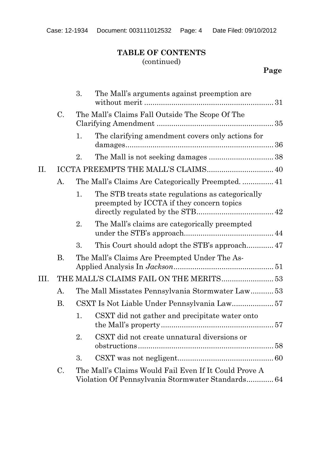## **TABLE OF CONTENTS** (continued)

## **Page**

|      |           | 3.                                               | The Mall's arguments against preemption are                                                                |  |
|------|-----------|--------------------------------------------------|------------------------------------------------------------------------------------------------------------|--|
|      | $\rm C$ . |                                                  | The Mall's Claims Fall Outside The Scope Of The                                                            |  |
|      |           | 1.                                               | The clarifying amendment covers only actions for                                                           |  |
|      |           | 2.                                               |                                                                                                            |  |
| II.  |           |                                                  | ICCTA PREEMPTS THE MALL'S CLAIMS 40                                                                        |  |
|      | A.        |                                                  |                                                                                                            |  |
|      |           | 1.                                               | The STB treats state regulations as categorically<br>preempted by ICCTA if they concern topics             |  |
|      |           | 2.                                               | The Mall's claims are categorically preempted                                                              |  |
|      |           | 3.                                               |                                                                                                            |  |
|      | Β.        |                                                  | The Mall's Claims Are Preempted Under The As-                                                              |  |
| III. |           |                                                  | THE MALL'S CLAIMS FAIL ON THE MERITS 53                                                                    |  |
|      | A.        | The Mall Misstates Pennsylvania Stormwater Law53 |                                                                                                            |  |
|      | <b>B.</b> |                                                  |                                                                                                            |  |
|      |           | 1.                                               | CSXT did not gather and precipitate water onto                                                             |  |
|      |           | 2.                                               | CSXT did not create unnatural diversions or                                                                |  |
|      |           | 3.                                               |                                                                                                            |  |
|      | C.        |                                                  | The Mall's Claims Would Fail Even If It Could Prove A<br>Violation Of Pennsylvania Stormwater Standards 64 |  |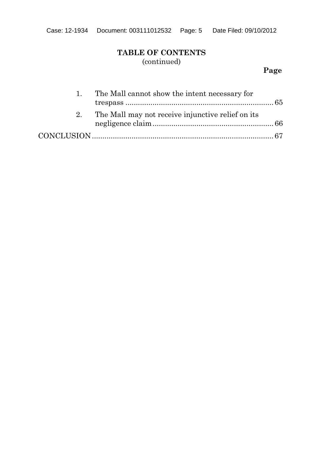## **TABLE OF CONTENTS** (continued)

## **Page**

| $\mathbf{1}$ | The Mall cannot show the intent necessary for        |  |
|--------------|------------------------------------------------------|--|
|              |                                                      |  |
|              | 2. The Mall may not receive injunctive relief on its |  |
|              |                                                      |  |
|              |                                                      |  |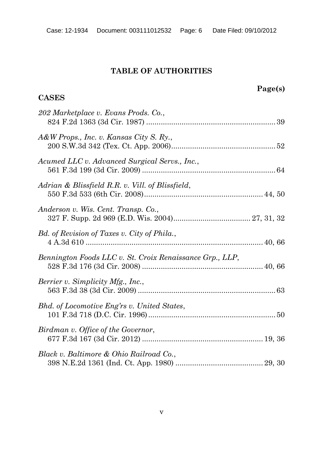# **TABLE OF AUTHORITIES**

### **CASES**

| 202 Marketplace v. Evans Prods. Co.,                     |
|----------------------------------------------------------|
| A&W Props., Inc. v. Kansas City S. Ry.,                  |
| Acumed LLC v. Advanced Surgical Servs., Inc.,            |
| Adrian & Blissfield R.R. v. Vill. of Blissfield,         |
| Anderson v. Wis. Cent. Transp. Co.,                      |
| Bd. of Revision of Taxes v. City of Phila.,              |
| Bennington Foods LLC v. St. Croix Renaissance Grp., LLP, |
| Berrier v. Simplicity Mfg., Inc.,                        |
| Bhd. of Locomotive Eng'rs v. United States,              |
| Birdman v. Office of the Governor,                       |
| Black v. Baltimore & Ohio Railroad Co.,                  |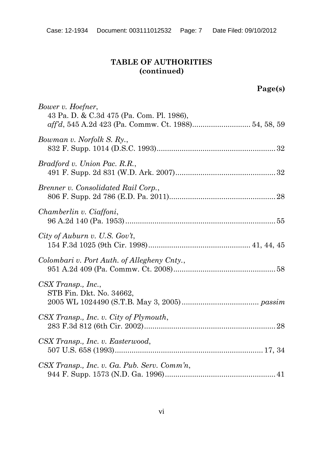| Bower v. Hoefner,<br>43 Pa. D. & C.3d 475 (Pa. Com. Pl. 1986),<br>aff'd, 545 A.2d 423 (Pa. Commw. Ct. 1988) 54, 58, 59 |  |
|------------------------------------------------------------------------------------------------------------------------|--|
| Bowman v. Norfolk S. Ry.,                                                                                              |  |
| Bradford v. Union Pac. R.R.,                                                                                           |  |
| Brenner v. Consolidated Rail Corp.,                                                                                    |  |
| Chamberlin v. Ciaffoni,                                                                                                |  |
| City of Auburn v. U.S. Gov't,                                                                                          |  |
| Colombari v. Port Auth. of Allegheny Cnty.,                                                                            |  |
| $CSX$ Transp., Inc.,<br>STB Fin. Dkt. No. 34662,                                                                       |  |
| CSX Transp., Inc. v. City of Plymouth,                                                                                 |  |
| CSX Transp., Inc. v. Easterwood,                                                                                       |  |
| $CSX$ Transp., Inc. v. Ga. Pub. Serv. Comm'n,                                                                          |  |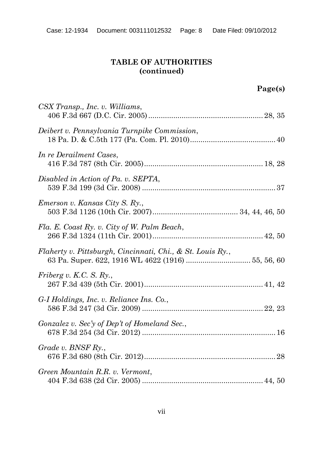| CSX Transp., Inc. v. Williams,                                                                                   |  |
|------------------------------------------------------------------------------------------------------------------|--|
| Deibert v. Pennsylvania Turnpike Commission,                                                                     |  |
| In re Derailment Cases,                                                                                          |  |
| Disabled in Action of Pa. v. SEPTA,                                                                              |  |
| Emerson v. Kansas City S. Ry.,                                                                                   |  |
| Fla. E. Coast Ry. v. City of W. Palm Beach,                                                                      |  |
| Flaherty v. Pittsburgh, Cincinnati, Chi., & St. Louis Ry.,<br>63 Pa. Super. 622, 1916 WL 4622 (1916)  55, 56, 60 |  |
| Friberg v. K.C. S. $Ry$ .                                                                                        |  |
| G-I Holdings, Inc. v. Reliance Ins. Co.,                                                                         |  |
| Gonzalez v. Sec'y of Dep't of Homeland Sec.,                                                                     |  |
| Grade v. $BNSF Ry.$                                                                                              |  |
| Green Mountain R.R. v. Vermont,                                                                                  |  |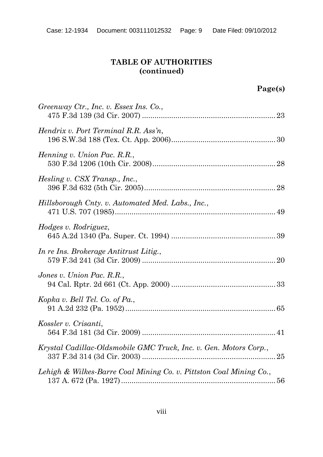| Greenway Ctr., Inc. v. Essex Ins. Co.,                             |  |
|--------------------------------------------------------------------|--|
| Hendrix v. Port Terminal R.R. Ass'n,                               |  |
| Henning v. Union Pac. R.R.,                                        |  |
| Hesling v. CSX Transp., Inc.,                                      |  |
| Hillsborough Cnty. v. Automated Med. Labs., Inc.,                  |  |
| Hodges v. Rodriguez,                                               |  |
| In re Ins. Brokerage Antitrust Litig.,                             |  |
| Jones v. Union Pac. R.R.,                                          |  |
| Kopka v. Bell Tel. Co. of Pa.,                                     |  |
| Kossler v. Crisanti,                                               |  |
| Krystal Cadillac-Oldsmobile GMC Truck, Inc. v. Gen. Motors Corp.,  |  |
| Lehigh & Wilkes-Barre Coal Mining Co. v. Pittston Coal Mining Co., |  |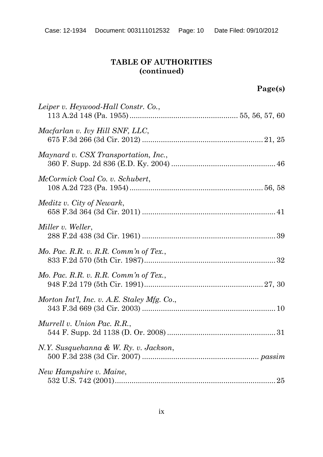| Leiper v. Heywood-Hall Constr. Co.,         |  |
|---------------------------------------------|--|
| Macfarlan v. Ivy Hill SNF, LLC,             |  |
| Maynard v. CSX Transportation, Inc.,        |  |
| McCormick Coal Co. v. Schubert,             |  |
| Meditz v. City of Newark,                   |  |
| Miller v. Weller,                           |  |
| Mo. Pac. R.R. v. R.R. Comm'n of Tex.,       |  |
| Mo. Pac. R.R. v. R.R. Comm'n of Tex.,       |  |
| Morton Int'l, Inc. v. A.E. Staley Mfg. Co., |  |
| Murrell v. Union Pac. R.R.,                 |  |
| N.Y. Susquehanna & W. Ry. v. Jackson,       |  |
| New Hampshire v. Maine,                     |  |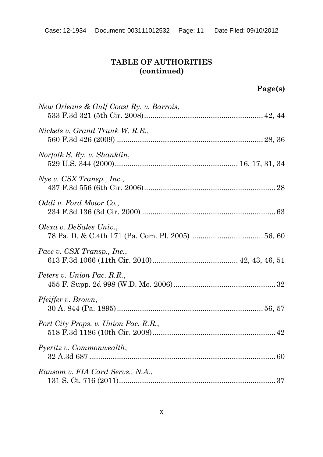| New Orleans & Gulf Coast Ry. v. Barrois, |  |
|------------------------------------------|--|
| Nickels v. Grand Trunk W. R.R.,          |  |
| Norfolk S. Ry. v. Shanklin,              |  |
| $Nye$ v. CSX Transp., Inc.,              |  |
| Oddi v. Ford Motor Co.,                  |  |
| Olexa v. DeSales Univ.,                  |  |
| Pace v. CSX Transp., Inc.,               |  |
| Peters v. Union Pac. R.R.,               |  |
| <i>Pfeiffer v. Brown,</i>                |  |
| Port City Props. v. Union Pac. R.R.,     |  |
| Pyeritz v. Commonwealth,                 |  |
| Ransom v. FIA Card Servs., N.A.,         |  |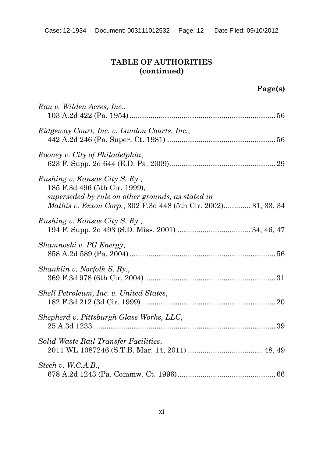| Rau v. Wilden Acres, Inc.,                                                                                                                                                             |
|----------------------------------------------------------------------------------------------------------------------------------------------------------------------------------------|
| Ridgeway Court, Inc. v. Landon Courts, Inc.,                                                                                                                                           |
| Rooney v. City of Philadelphia,                                                                                                                                                        |
| Rushing v. Kansas City S. Ry.,<br>185 F.3d 496 (5th Cir. 1999),<br>superseded by rule on other grounds, as stated in<br>Mathis v. Exxon Corp., 302 F.3d 448 (5th Cir. 2002) 31, 33, 34 |
| Rushing v. Kansas City S. Ry.,                                                                                                                                                         |
| Shamnoski v. PG Energy,                                                                                                                                                                |
| Shanklin v. Norfolk S. Ry.,                                                                                                                                                            |
| Shell Petroleum, Inc. v. United States,                                                                                                                                                |
| Shepherd v. Pittsburgh Glass Works, LLC,                                                                                                                                               |
| Solid Waste Rail Transfer Facilities,                                                                                                                                                  |
| Stech v. W.C.A.B.,                                                                                                                                                                     |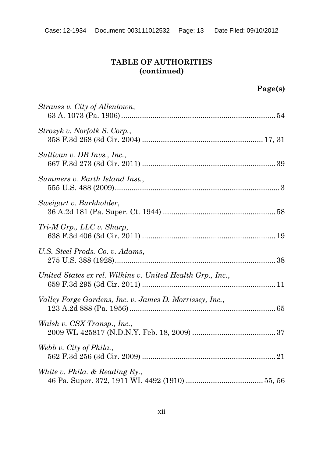| Strauss v. City of Allentown,                              |
|------------------------------------------------------------|
| Strozyk v. Norfolk S. Corp.,                               |
| Sullivan v. DB Invs., Inc.,                                |
| Summers v. Earth Island Inst.,                             |
| Sweigart v. Burkholder,                                    |
| $Tri-M Grp., LLC v. Sharp,$                                |
| U.S. Steel Prods. Co. v. Adams,                            |
| United States ex rel. Wilkins v. United Health Grp., Inc., |
| Valley Forge Gardens, Inc. v. James D. Morrissey, Inc.,    |
| Walsh v. CSX Transp., Inc.,                                |
| Webb v. City of Phila.,                                    |
| White v. Phila. $\&$ Reading Ry.,                          |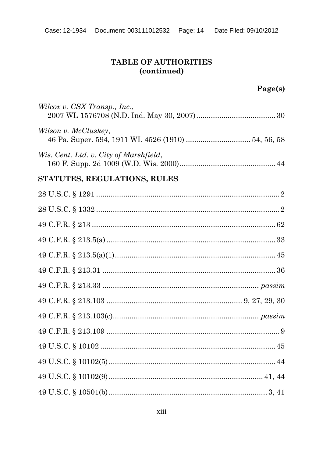| Wilcox v. CSX Transp., Inc.,                                               |  |
|----------------------------------------------------------------------------|--|
| Wilson v. McCluskey,<br>46 Pa. Super. 594, 1911 WL 4526 (1910)  54, 56, 58 |  |
| Wis. Cent. Ltd. v. City of Marshfield,                                     |  |
| STATUTES, REGULATIONS, RULES                                               |  |
|                                                                            |  |
|                                                                            |  |
|                                                                            |  |
|                                                                            |  |
|                                                                            |  |
|                                                                            |  |
|                                                                            |  |
|                                                                            |  |
|                                                                            |  |
|                                                                            |  |
|                                                                            |  |
|                                                                            |  |
|                                                                            |  |
|                                                                            |  |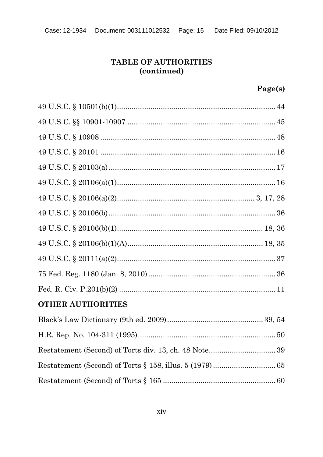| <b>OTHER AUTHORITIES</b> |  |
|--------------------------|--|
|                          |  |
|                          |  |
|                          |  |
|                          |  |
|                          |  |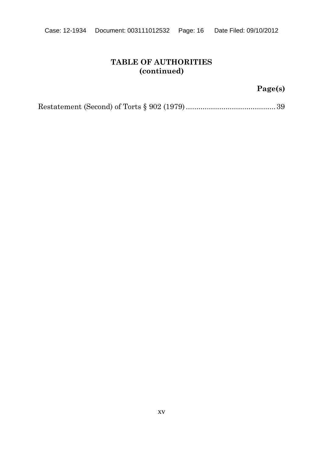## **Page(s)**

Restatement (Second) of Torts § 902 (1979) ...........................................39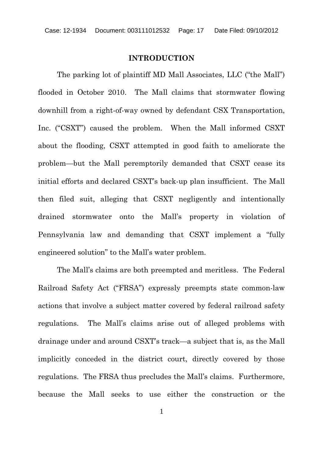#### **INTRODUCTION**

The parking lot of plaintiff MD Mall Associates, LLC ("the Mall") flooded in October 2010. The Mall claims that stormwater flowing downhill from a right-of-way owned by defendant CSX Transportation, Inc. ("CSXT") caused the problem. When the Mall informed CSXT about the flooding, CSXT attempted in good faith to ameliorate the problem—but the Mall peremptorily demanded that CSXT cease its initial efforts and declared CSXT's back-up plan insufficient. The Mall then filed suit, alleging that CSXT negligently and intentionally drained stormwater onto the Mall's property in violation of Pennsylvania law and demanding that CSXT implement a "fully engineered solution" to the Mall's water problem.

The Mall's claims are both preempted and meritless. The Federal Railroad Safety Act ("FRSA") expressly preempts state common-law actions that involve a subject matter covered by federal railroad safety regulations. The Mall's claims arise out of alleged problems with drainage under and around CSXT's track—a subject that is, as the Mall implicitly conceded in the district court, directly covered by those regulations. The FRSA thus precludes the Mall's claims. Furthermore, because the Mall seeks to use either the construction or the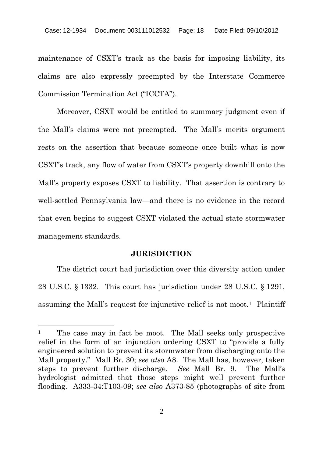maintenance of CSXT's track as the basis for imposing liability, its claims are also expressly preempted by the Interstate Commerce Commission Termination Act ("ICCTA").

Moreover, CSXT would be entitled to summary judgment even if the Mall's claims were not preempted. The Mall's merits argument rests on the assertion that because someone once built what is now CSXT's track, any flow of water from CSXT's property downhill onto the Mall's property exposes CSXT to liability. That assertion is contrary to well-settled Pennsylvania law—and there is no evidence in the record that even begins to suggest CSXT violated the actual state stormwater management standards.

#### **JURISDICTION**

The district court had jurisdiction over this diversity action under 28 U.S.C. § 1332. This court has jurisdiction under 28 U.S.C. § 1291, assuming the Mall's request for injunctive relief is not moot.<sup>1</sup> Plaintiff

<sup>&</sup>lt;sup>1</sup> The case may in fact be moot. The Mall seeks only prospective relief in the form of an injunction ordering CSXT to "provide a fully engineered solution to prevent its stormwater from discharging onto the Mall property." Mall Br. 30; *see also* A8. The Mall has, however, taken steps to prevent further discharge. *See* Mall Br. 9. The Mall's hydrologist admitted that those steps might well prevent further flooding. A333-34:T103-09; *see also* A373-85 (photographs of site from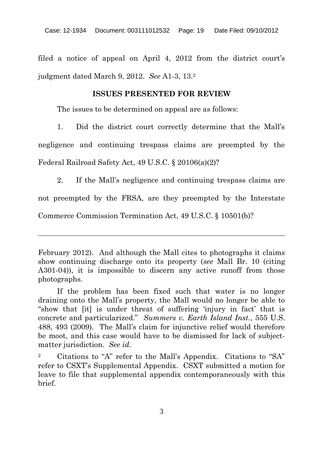filed a notice of appeal on April 4, 2012 from the district court's judgment dated March 9, 2012. *See* A1-3, 13.<sup>2</sup>

#### **ISSUES PRESENTED FOR REVIEW**

The issues to be determined on appeal are as follows:

1. Did the district court correctly determine that the Mall's

negligence and continuing trespass claims are preempted by the Federal Railroad Safety Act, 49 U.S.C. § 20106(a)(2)?

2. If the Mall's negligence and continuing trespass claims are not preempted by the FRSA, are they preempted by the Interstate Commerce Commission Termination Act, 49 U.S.C. § 10501(b)?

February 2012). And although the Mall cites to photographs it claims show continuing discharge onto its property (*see* Mall Br. 10 (citing A301-04)), it is impossible to discern any active runoff from those photographs.

If the problem has been fixed such that water is no longer draining onto the Mall's property, the Mall would no longer be able to "show that [it] is under threat of suffering 'injury in fact' that is concrete and particularized." *Summers v. Earth Island Inst.*, 555 U.S. 488, 493 (2009). The Mall's claim for injunctive relief would therefore be moot, and this case would have to be dismissed for lack of subjectmatter jurisdiction. *See id.*

<sup>2</sup> Citations to "A" refer to the Mall's Appendix. Citations to "SA" refer to CSXT's Supplemental Appendix. CSXT submitted a motion for leave to file that supplemental appendix contemporaneously with this brief.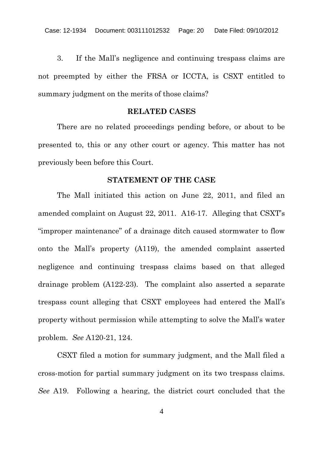3. If the Mall's negligence and continuing trespass claims are not preempted by either the FRSA or ICCTA, is CSXT entitled to summary judgment on the merits of those claims?

#### **RELATED CASES**

There are no related proceedings pending before, or about to be presented to, this or any other court or agency. This matter has not previously been before this Court.

#### **STATEMENT OF THE CASE**

The Mall initiated this action on June 22, 2011, and filed an amended complaint on August 22, 2011. A16-17. Alleging that CSXT's "improper maintenance" of a drainage ditch caused stormwater to flow onto the Mall's property (A119), the amended complaint asserted negligence and continuing trespass claims based on that alleged drainage problem (A122-23). The complaint also asserted a separate trespass count alleging that CSXT employees had entered the Mall's property without permission while attempting to solve the Mall's water problem. *See* A120-21, 124.

CSXT filed a motion for summary judgment, and the Mall filed a cross-motion for partial summary judgment on its two trespass claims. *See* A19. Following a hearing, the district court concluded that the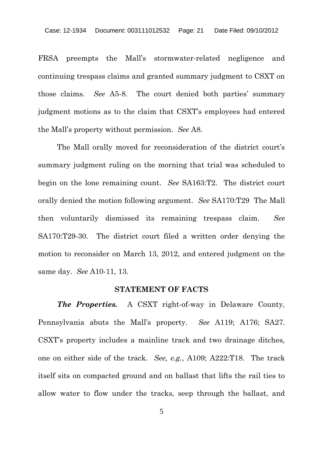FRSA preempts the Mall's stormwater-related negligence and continuing trespass claims and granted summary judgment to CSXT on those claims. *See* A5-8. The court denied both parties' summary judgment motions as to the claim that CSXT's employees had entered the Mall's property without permission. *See* A8.

The Mall orally moved for reconsideration of the district court's summary judgment ruling on the morning that trial was scheduled to begin on the lone remaining count. *See* SA163:T2. The district court orally denied the motion following argument. *See* SA170:T29 The Mall then voluntarily dismissed its remaining trespass claim. *See* SA170:T29-30. The district court filed a written order denying the motion to reconsider on March 13, 2012, and entered judgment on the same day. *See* A10-11, 13.

#### **STATEMENT OF FACTS**

*The Properties.* A CSXT right-of-way in Delaware County, Pennsylvania abuts the Mall's property. *See* A119; A176; SA27. CSXT's property includes a mainline track and two drainage ditches, one on either side of the track. *See, e.g.*, A109; A222:T18. The track itself sits on compacted ground and on ballast that lifts the rail ties to allow water to flow under the tracks, seep through the ballast, and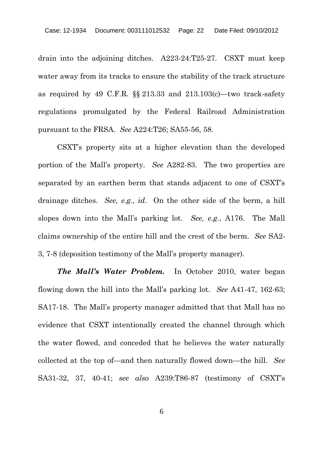drain into the adjoining ditches. A223-24:T25-27. CSXT must keep water away from its tracks to ensure the stability of the track structure as required by 49 C.F.R. §§ 213.33 and 213.103(c)—two track-safety regulations promulgated by the Federal Railroad Administration pursuant to the FRSA. *See* A224:T26; SA55-56, 58.

CSXT's property sits at a higher elevation than the developed portion of the Mall's property. *See* A282-83. The two properties are separated by an earthen berm that stands adjacent to one of CSXT's drainage ditches. *See, e.g.*, *id*. On the other side of the berm, a hill slopes down into the Mall's parking lot. *See, e.g.*, A176. The Mall claims ownership of the entire hill and the crest of the berm. *See* SA2- 3, 7-8 (deposition testimony of the Mall's property manager).

*The Mall's Water Problem.* In October 2010, water began flowing down the hill into the Mall's parking lot. *See* A41-47, 162-63; SA17-18. The Mall's property manager admitted that that Mall has no evidence that CSXT intentionally created the channel through which the water flowed, and conceded that he believes the water naturally collected at the top of—and then naturally flowed down—the hill. *See* SA31-32, 37, 40-41; *see also* A239:T86-87 (testimony of CSXT's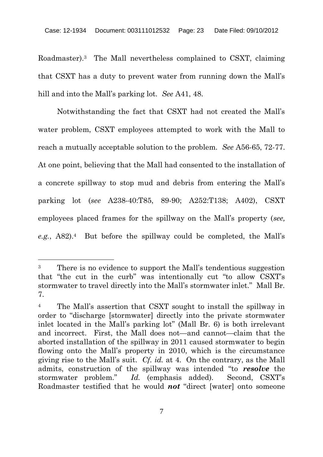Roadmaster).<sup>3</sup> The Mall nevertheless complained to CSXT, claiming that CSXT has a duty to prevent water from running down the Mall's hill and into the Mall's parking lot. *See* A41, 48.

Notwithstanding the fact that CSXT had not created the Mall's water problem, CSXT employees attempted to work with the Mall to reach a mutually acceptable solution to the problem. *See* A56-65, 72-77. At one point, believing that the Mall had consented to the installation of a concrete spillway to stop mud and debris from entering the Mall's parking lot (*see* A238-40:T85, 89-90; A252:T138; A402), CSXT employees placed frames for the spillway on the Mall's property (*see, e.g.*, A82).<sup>4</sup> But before the spillway could be completed, the Mall's

<sup>&</sup>lt;sup>3</sup> There is no evidence to support the Mall's tendentious suggestion that "the cut in the curb" was intentionally cut "to allow CSXT's stormwater to travel directly into the Mall's stormwater inlet." Mall Br. 7.

<sup>4</sup> The Mall's assertion that CSXT sought to install the spillway in order to "discharge [stormwater] directly into the private stormwater inlet located in the Mall's parking lot" (Mall Br. 6) is both irrelevant and incorrect. First, the Mall does not—and cannot—claim that the aborted installation of the spillway in 2011 caused stormwater to begin flowing onto the Mall's property in 2010, which is the circumstance giving rise to the Mall's suit. *Cf. id.* at 4. On the contrary, as the Mall admits, construction of the spillway was intended "to *resolve* the stormwater problem." *Id.* (emphasis added). Second, CSXT's Roadmaster testified that he would *not* "direct [water] onto someone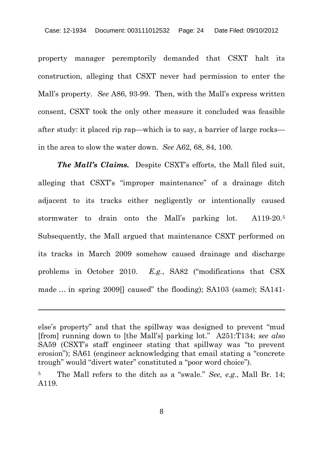property manager peremptorily demanded that CSXT halt its construction, alleging that CSXT never had permission to enter the Mall's property. *See* A86, 93-99. Then, with the Mall's express written consent, CSXT took the only other measure it concluded was feasible after study: it placed rip rap—which is to say, a barrier of large rocks in the area to slow the water down. *See* A62, 68, 84, 100.

*The Mall's Claims.* Despite CSXT's efforts, the Mall filed suit, alleging that CSXT's "improper maintenance" of a drainage ditch adjacent to its tracks either negligently or intentionally caused stormwater to drain onto the Mall's parking lot. A119-20.<sup>5</sup> Subsequently, the Mall argued that maintenance CSXT performed on its tracks in March 2009 somehow caused drainage and discharge problems in October 2010. *E.g.*, SA82 ("modifications that CSX made … in spring 2009[] caused" the flooding); SA103 (same); SA141-

8

else's property" and that the spillway was designed to prevent "mud [from] running down to [the Mall's] parking lot." A251:T134; *see also* SA59 (CSXT's staff engineer stating that spillway was "to prevent erosion"); SA61 (engineer acknowledging that email stating a "concrete trough" would "divert water" constituted a "poor word choice").

<sup>5</sup> The Mall refers to the ditch as a "swale." *See, e.g.*, Mall Br. 14; A119.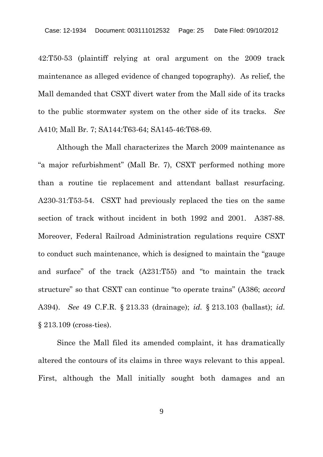42:T50-53 (plaintiff relying at oral argument on the 2009 track maintenance as alleged evidence of changed topography). As relief, the Mall demanded that CSXT divert water from the Mall side of its tracks to the public stormwater system on the other side of its tracks. *See* A410; Mall Br. 7; SA144:T63-64; SA145-46:T68-69.

Although the Mall characterizes the March 2009 maintenance as "a major refurbishment" (Mall Br. 7), CSXT performed nothing more than a routine tie replacement and attendant ballast resurfacing. A230-31:T53-54. CSXT had previously replaced the ties on the same section of track without incident in both 1992 and 2001. A387-88. Moreover, Federal Railroad Administration regulations require CSXT to conduct such maintenance, which is designed to maintain the "gauge and surface" of the track (A231:T55) and "to maintain the track structure" so that CSXT can continue "to operate trains" (A386; *accord* A394). *See* 49 C.F.R. § 213.33 (drainage); *id.* § 213.103 (ballast); *id.* § 213.109 (cross-ties).

Since the Mall filed its amended complaint, it has dramatically altered the contours of its claims in three ways relevant to this appeal. First, although the Mall initially sought both damages and an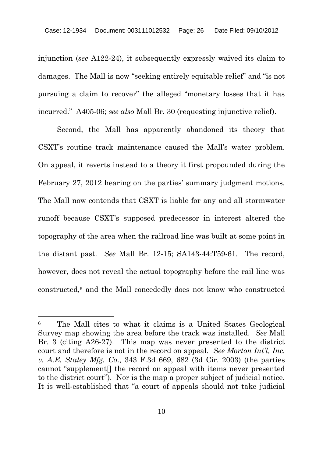injunction (*see* A122-24), it subsequently expressly waived its claim to damages. The Mall is now "seeking entirely equitable relief" and "is not pursuing a claim to recover" the alleged "monetary losses that it has incurred." A405-06; *see also* Mall Br. 30 (requesting injunctive relief).

Second, the Mall has apparently abandoned its theory that CSXT's routine track maintenance caused the Mall's water problem. On appeal, it reverts instead to a theory it first propounded during the February 27, 2012 hearing on the parties' summary judgment motions. The Mall now contends that CSXT is liable for any and all stormwater runoff because CSXT's supposed predecessor in interest altered the topography of the area when the railroad line was built at some point in the distant past. *See* Mall Br. 12-15; SA143-44:T59-61. The record, however, does not reveal the actual topography before the rail line was constructed,<sup>6</sup> and the Mall concededly does not know who constructed

<sup>6</sup> The Mall cites to what it claims is a United States Geological Survey map showing the area before the track was installed. *See* Mall Br. 3 (citing A26-27). This map was never presented to the district court and therefore is not in the record on appeal. *See Morton Int'l, Inc. v. A.E. Staley Mfg. Co*., 343 F.3d 669, 682 (3d Cir. 2003) (the parties cannot "supplement[] the record on appeal with items never presented to the district court"). Nor is the map a proper subject of judicial notice. It is well-established that "a court of appeals should not take judicial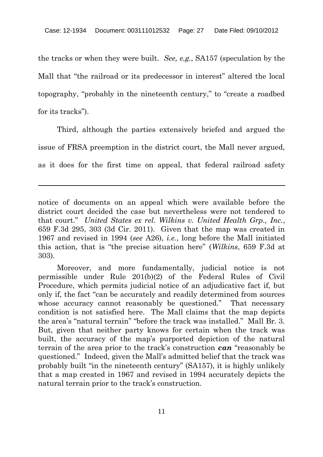the tracks or when they were built. *See, e.g.*, SA157 (speculation by the Mall that "the railroad or its predecessor in interest" altered the local topography, "probably in the nineteenth century," to "create a roadbed for its tracks").

Third, although the parties extensively briefed and argued the issue of FRSA preemption in the district court, the Mall never argued, as it does for the first time on appeal, that federal railroad safety

notice of documents on an appeal which were available before the district court decided the case but nevertheless were not tendered to that court." *United States ex rel. Wilkins v. United Health Grp., Inc.*, 659 F.3d 295, 303 (3d Cir. 2011). Given that the map was created in 1967 and revised in 1994 (*see* A26), *i.e.*, long before the Mall initiated this action, that is "the precise situation here" (*Wilkins*, 659 F.3d at 303).

Moreover, and more fundamentally, judicial notice is not permissible under Rule 201(b)(2) of the Federal Rules of Civil Procedure, which permits judicial notice of an adjudicative fact if, but only if, the fact "can be accurately and readily determined from sources whose accuracy cannot reasonably be questioned." That necessary condition is not satisfied here. The Mall claims that the map depicts the area's "natural terrain" "before the track was installed." Mall Br. 3. But, given that neither party knows for certain when the track was built, the accuracy of the map's purported depiction of the natural terrain of the area prior to the track's construction *can* "reasonably be questioned." Indeed, given the Mall's admitted belief that the track was probably built "in the nineteenth century" (SA157), it is highly unlikely that a map created in 1967 and revised in 1994 accurately depicts the natural terrain prior to the track's construction.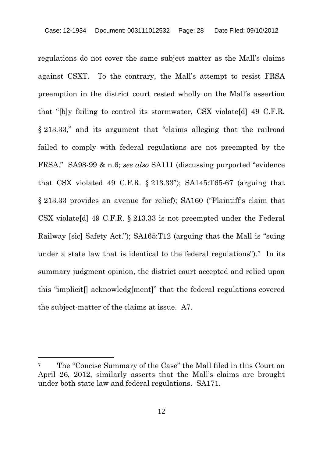regulations do not cover the same subject matter as the Mall's claims against CSXT. To the contrary, the Mall's attempt to resist FRSA preemption in the district court rested wholly on the Mall's assertion that "[b]y failing to control its stormwater, CSX violate[d] 49 C.F.R. § 213.33," and its argument that "claims alleging that the railroad failed to comply with federal regulations are not preempted by the FRSA." SA98-99 & n.6; *see also* SA111 (discussing purported "evidence that CSX violated 49 C.F.R. § 213.33"); SA145:T65-67 (arguing that § 213.33 provides an avenue for relief); SA160 ("Plaintiff's claim that CSX violate[d] 49 C.F.R. § 213.33 is not preempted under the Federal Railway [sic] Safety Act."); SA165:T12 (arguing that the Mall is "suing under a state law that is identical to the federal regulations").<sup>7</sup> In its summary judgment opinion, the district court accepted and relied upon this "implicit[] acknowledg[ment]" that the federal regulations covered the subject-matter of the claims at issue. A7.

<sup>7</sup> The "Concise Summary of the Case" the Mall filed in this Court on April 26, 2012, similarly asserts that the Mall's claims are brought under both state law and federal regulations. SA171.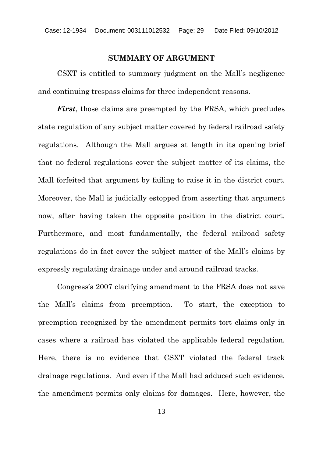#### **SUMMARY OF ARGUMENT**

CSXT is entitled to summary judgment on the Mall's negligence and continuing trespass claims for three independent reasons.

*First*, those claims are preempted by the FRSA, which precludes state regulation of any subject matter covered by federal railroad safety regulations. Although the Mall argues at length in its opening brief that no federal regulations cover the subject matter of its claims, the Mall forfeited that argument by failing to raise it in the district court. Moreover, the Mall is judicially estopped from asserting that argument now, after having taken the opposite position in the district court. Furthermore, and most fundamentally, the federal railroad safety regulations do in fact cover the subject matter of the Mall's claims by expressly regulating drainage under and around railroad tracks.

Congress's 2007 clarifying amendment to the FRSA does not save the Mall's claims from preemption. To start, the exception to preemption recognized by the amendment permits tort claims only in cases where a railroad has violated the applicable federal regulation. Here, there is no evidence that CSXT violated the federal track drainage regulations. And even if the Mall had adduced such evidence, the amendment permits only claims for damages. Here, however, the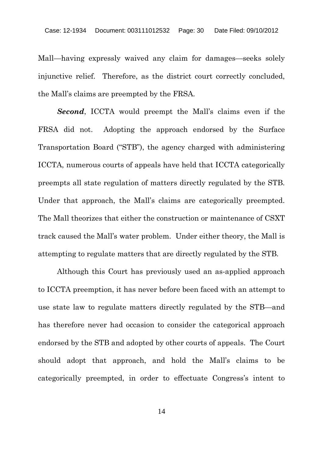Mall—having expressly waived any claim for damages—seeks solely injunctive relief. Therefore, as the district court correctly concluded, the Mall's claims are preempted by the FRSA.

*Second*, ICCTA would preempt the Mall's claims even if the FRSA did not. Adopting the approach endorsed by the Surface Transportation Board ("STB"), the agency charged with administering ICCTA, numerous courts of appeals have held that ICCTA categorically preempts all state regulation of matters directly regulated by the STB. Under that approach, the Mall's claims are categorically preempted. The Mall theorizes that either the construction or maintenance of CSXT track caused the Mall's water problem. Under either theory, the Mall is attempting to regulate matters that are directly regulated by the STB.

Although this Court has previously used an as-applied approach to ICCTA preemption, it has never before been faced with an attempt to use state law to regulate matters directly regulated by the STB—and has therefore never had occasion to consider the categorical approach endorsed by the STB and adopted by other courts of appeals. The Court should adopt that approach, and hold the Mall's claims to be categorically preempted, in order to effectuate Congress's intent to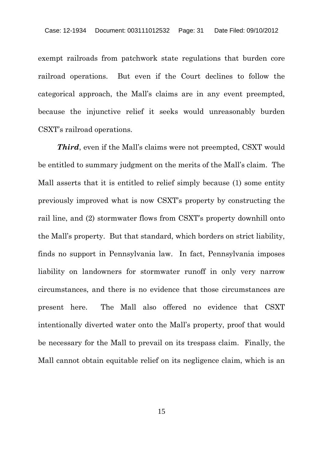exempt railroads from patchwork state regulations that burden core railroad operations. But even if the Court declines to follow the categorical approach, the Mall's claims are in any event preempted, because the injunctive relief it seeks would unreasonably burden CSXT's railroad operations.

*Third*, even if the Mall's claims were not preempted, CSXT would be entitled to summary judgment on the merits of the Mall's claim. The Mall asserts that it is entitled to relief simply because (1) some entity previously improved what is now CSXT's property by constructing the rail line, and (2) stormwater flows from CSXT's property downhill onto the Mall's property. But that standard, which borders on strict liability, finds no support in Pennsylvania law. In fact, Pennsylvania imposes liability on landowners for stormwater runoff in only very narrow circumstances, and there is no evidence that those circumstances are present here. The Mall also offered no evidence that CSXT intentionally diverted water onto the Mall's property, proof that would be necessary for the Mall to prevail on its trespass claim. Finally, the Mall cannot obtain equitable relief on its negligence claim, which is an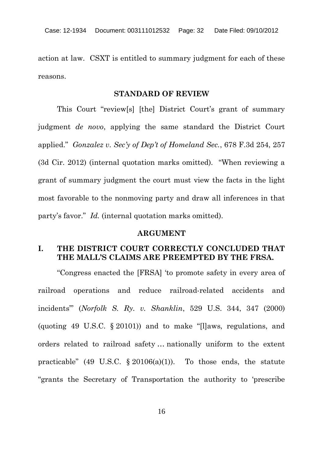action at law. CSXT is entitled to summary judgment for each of these reasons.

#### **STANDARD OF REVIEW**

This Court "review[s] [the] District Court's grant of summary judgment *de novo*, applying the same standard the District Court applied." *Gonzalez v. Sec'y of Dep't of Homeland Sec.*, 678 F.3d 254, 257 (3d Cir. 2012) (internal quotation marks omitted). "When reviewing a grant of summary judgment the court must view the facts in the light most favorable to the nonmoving party and draw all inferences in that party's favor." *Id.* (internal quotation marks omitted).

#### **ARGUMENT**

#### **I. THE DISTRICT COURT CORRECTLY CONCLUDED THAT THE MALL'S CLAIMS ARE PREEMPTED BY THE FRSA.**

"Congress enacted the [FRSA] 'to promote safety in every area of railroad operations and reduce railroad-related accidents and incidents'" (*Norfolk S. Ry. v. Shanklin*, 529 U.S. 344, 347 (2000) (quoting 49 U.S.C. § 20101)) and to make "[l]aws, regulations, and orders related to railroad safety … nationally uniform to the extent practicable" (49 U.S.C.  $\S 20106(a)(1)$ ). To those ends, the statute "grants the Secretary of Transportation the authority to 'prescribe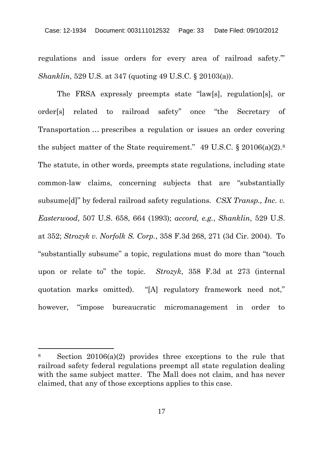regulations and issue orders for every area of railroad safety.'" *Shanklin*, 529 U.S. at 347 (quoting 49 U.S.C. § 20103(a)).

The FRSA expressly preempts state "law[s], regulation[s], or order[s] related to railroad safety" once "the Secretary of Transportation … prescribes a regulation or issues an order covering the subject matter of the State requirement." 49 U.S.C. § 20106(a)(2).<sup>8</sup> The statute, in other words, preempts state regulations, including state common-law claims, concerning subjects that are "substantially subsume[d]" by federal railroad safety regulations. *CSX Transp., Inc. v. Easterwood*, 507 U.S. 658, 664 (1993); *accord, e.g.*, *Shanklin*, 529 U.S. at 352; *Strozyk v. Norfolk S. Corp.*, 358 F.3d 268, 271 (3d Cir. 2004). To "substantially subsume" a topic, regulations must do more than "touch upon or relate to" the topic. *Strozyk*, 358 F.3d at 273 (internal quotation marks omitted). "[A] regulatory framework need not," however, "impose bureaucratic micromanagement in order to

<sup>8</sup> Section 20106(a)(2) provides three exceptions to the rule that railroad safety federal regulations preempt all state regulation dealing with the same subject matter. The Mall does not claim, and has never claimed, that any of those exceptions applies to this case.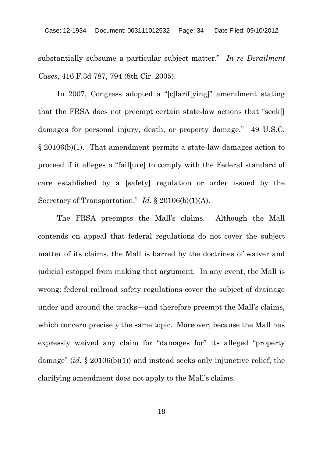substantially subsume a particular subject matter." *In re Derailment Cases*, 416 F.3d 787, 794 (8th Cir. 2005).

In 2007, Congress adopted a "[c]larif[ying]" amendment stating that the FRSA does not preempt certain state-law actions that "seek[] damages for personal injury, death, or property damage." 49 U.S.C. § 20106(b)(1). That amendment permits a state-law damages action to proceed if it alleges a "fail[ure] to comply with the Federal standard of care established by a [safety] regulation or order issued by the Secretary of Transportation." *Id.* § 20106(b)(1)(A).

The FRSA preempts the Mall's claims. Although the Mall contends on appeal that federal regulations do not cover the subject matter of its claims, the Mall is barred by the doctrines of waiver and judicial estoppel from making that argument. In any event, the Mall is wrong: federal railroad safety regulations cover the subject of drainage under and around the tracks—and therefore preempt the Mall's claims, which concern precisely the same topic. Moreover, because the Mall has expressly waived any claim for "damages for" its alleged "property damage" (*id.* § 20106(b)(1)) and instead seeks only injunctive relief, the clarifying amendment does not apply to the Mall's claims.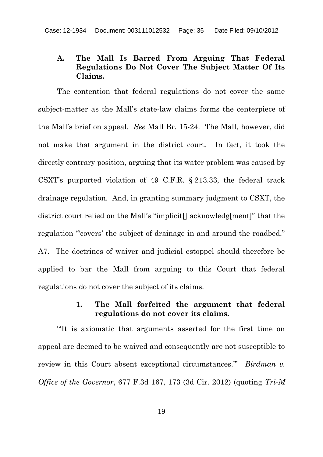#### **A. The Mall Is Barred From Arguing That Federal Regulations Do Not Cover The Subject Matter Of Its Claims.**

The contention that federal regulations do not cover the same subject-matter as the Mall's state-law claims forms the centerpiece of the Mall's brief on appeal. *See* Mall Br. 15-24. The Mall, however, did not make that argument in the district court. In fact, it took the directly contrary position, arguing that its water problem was caused by CSXT's purported violation of 49 C.F.R. § 213.33, the federal track drainage regulation. And, in granting summary judgment to CSXT, the district court relied on the Mall's "implicit[] acknowledg[ment]" that the regulation "covers' the subject of drainage in and around the roadbed." A7. The doctrines of waiver and judicial estoppel should therefore be applied to bar the Mall from arguing to this Court that federal regulations do not cover the subject of its claims.

#### **1. The Mall forfeited the argument that federal regulations do not cover its claims.**

"'It is axiomatic that arguments asserted for the first time on appeal are deemed to be waived and consequently are not susceptible to review in this Court absent exceptional circumstances.'" *Birdman v. Office of the Governor*, 677 F.3d 167, 173 (3d Cir. 2012) (quoting *Tri-M*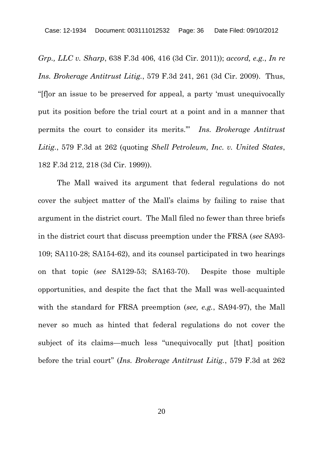*Grp., LLC v. Sharp*, 638 F.3d 406, 416 (3d Cir. 2011)); *accord, e.g.*, *In re Ins. Brokerage Antitrust Litig.*, 579 F.3d 241, 261 (3d Cir. 2009). Thus, "[f]or an issue to be preserved for appeal, a party 'must unequivocally put its position before the trial court at a point and in a manner that permits the court to consider its merits.'" *Ins. Brokerage Antitrust Litig.*, 579 F.3d at 262 (quoting *Shell Petroleum, Inc. v. United States*, 182 F.3d 212, 218 (3d Cir. 1999)).

The Mall waived its argument that federal regulations do not cover the subject matter of the Mall's claims by failing to raise that argument in the district court. The Mall filed no fewer than three briefs in the district court that discuss preemption under the FRSA (*see* SA93- 109; SA110-28; SA154-62), and its counsel participated in two hearings on that topic (*see* SA129-53; SA163-70). Despite those multiple opportunities, and despite the fact that the Mall was well-acquainted with the standard for FRSA preemption (*see, e.g.*, SA94-97), the Mall never so much as hinted that federal regulations do not cover the subject of its claims—much less "unequivocally put [that] position before the trial court" (*Ins. Brokerage Antitrust Litig.*, 579 F.3d at 262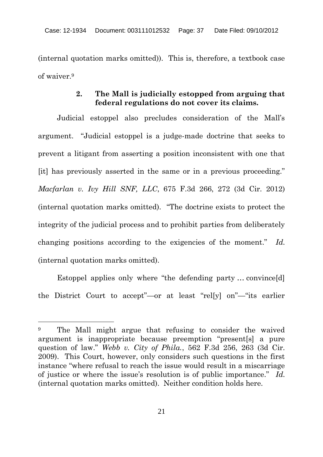(internal quotation marks omitted)). This is, therefore, a textbook case of waiver.<sup>9</sup>

## **2. The Mall is judicially estopped from arguing that federal regulations do not cover its claims.**

Judicial estoppel also precludes consideration of the Mall's argument. "Judicial estoppel is a judge-made doctrine that seeks to prevent a litigant from asserting a position inconsistent with one that [it] has previously asserted in the same or in a previous proceeding." *Macfarlan v. Ivy Hill SNF, LLC*, 675 F.3d 266, 272 (3d Cir. 2012) (internal quotation marks omitted). "The doctrine exists to protect the integrity of the judicial process and to prohibit parties from deliberately changing positions according to the exigencies of the moment." *Id.* (internal quotation marks omitted).

Estoppel applies only where "the defending party ... convince[d] the District Court to accept"—or at least "rel[y] on"—"its earlier

<sup>9</sup> The Mall might argue that refusing to consider the waived argument is inappropriate because preemption "present[s] a pure question of law." *Webb v. City of Phila.*, 562 F.3d 256, 263 (3d Cir. 2009). This Court, however, only considers such questions in the first instance "where refusal to reach the issue would result in a miscarriage of justice or where the issue's resolution is of public importance." *Id.* (internal quotation marks omitted). Neither condition holds here.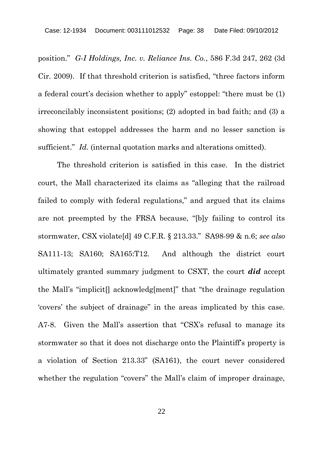position." *G-I Holdings, Inc. v. Reliance Ins. Co.*, 586 F.3d 247, 262 (3d Cir. 2009). If that threshold criterion is satisfied, "three factors inform a federal court's decision whether to apply" estoppel: "there must be (1) irreconcilably inconsistent positions; (2) adopted in bad faith; and (3) a showing that estoppel addresses the harm and no lesser sanction is sufficient." *Id.* (internal quotation marks and alterations omitted).

The threshold criterion is satisfied in this case. In the district court, the Mall characterized its claims as "alleging that the railroad failed to comply with federal regulations," and argued that its claims are not preempted by the FRSA because, "[b]y failing to control its stormwater, CSX violate[d] 49 C.F.R. § 213.33." SA98-99 & n.6; *see also* SA111-13; SA160; SA165:T12. And although the district court ultimately granted summary judgment to CSXT, the court *did* accept the Mall's "implicit[] acknowledg[ment]" that "the drainage regulation 'covers' the subject of drainage" in the areas implicated by this case. A7-8. Given the Mall's assertion that "CSX's refusal to manage its stormwater so that it does not discharge onto the Plaintiff's property is a violation of Section 213.33" (SA161), the court never considered whether the regulation "covers" the Mall's claim of improper drainage,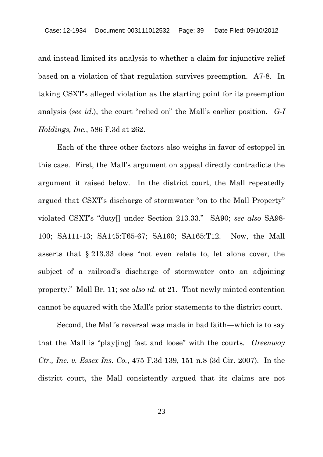and instead limited its analysis to whether a claim for injunctive relief based on a violation of that regulation survives preemption. A7-8. In taking CSXT's alleged violation as the starting point for its preemption analysis (*see id.*), the court "relied on" the Mall's earlier position. *G-I Holdings, Inc.*, 586 F.3d at 262.

Each of the three other factors also weighs in favor of estoppel in this case. First, the Mall's argument on appeal directly contradicts the argument it raised below. In the district court, the Mall repeatedly argued that CSXT's discharge of stormwater "on to the Mall Property" violated CSXT's "duty[] under Section 213.33." SA90; *see also* SA98- 100; SA111-13; SA145:T65-67; SA160; SA165:T12. Now, the Mall asserts that § 213.33 does "not even relate to, let alone cover, the subject of a railroad's discharge of stormwater onto an adjoining property." Mall Br. 11; *see also id.* at 21. That newly minted contention cannot be squared with the Mall's prior statements to the district court.

Second, the Mall's reversal was made in bad faith—which is to say that the Mall is "play[ing] fast and loose" with the courts. *Greenway Ctr., Inc. v. Essex Ins. Co.*, 475 F.3d 139, 151 n.8 (3d Cir. 2007). In the district court, the Mall consistently argued that its claims are not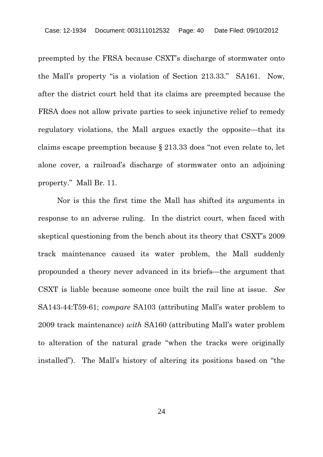preempted by the FRSA because CSXT's discharge of stormwater onto the Mall's property "is a violation of Section 213.33." SA161. Now, after the district court held that its claims are preempted because the FRSA does not allow private parties to seek injunctive relief to remedy regulatory violations, the Mall argues exactly the opposite—that its claims escape preemption because § 213.33 does "not even relate to, let alone cover, a railroad's discharge of stormwater onto an adjoining property." Mall Br. 11.

Nor is this the first time the Mall has shifted its arguments in response to an adverse ruling. In the district court, when faced with skeptical questioning from the bench about its theory that CSXT's 2009 track maintenance caused its water problem, the Mall suddenly propounded a theory never advanced in its briefs—the argument that CSXT is liable because someone once built the rail line at issue. *See* SA143-44:T59-61; *compare* SA103 (attributing Mall's water problem to 2009 track maintenance) *with* SA160 (attributing Mall's water problem to alteration of the natural grade "when the tracks were originally installed"). The Mall's history of altering its positions based on "the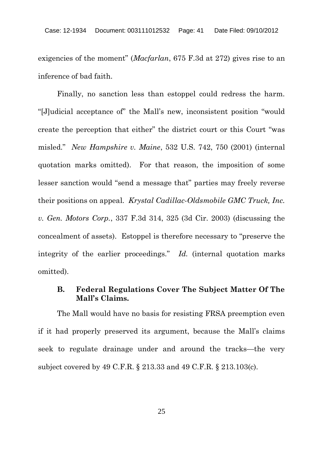exigencies of the moment" (*Macfarlan*, 675 F.3d at 272) gives rise to an inference of bad faith.

Finally, no sanction less than estoppel could redress the harm. "[J]udicial acceptance of" the Mall's new, inconsistent position "would create the perception that either" the district court or this Court "was misled." *New Hampshire v. Maine*, 532 U.S. 742, 750 (2001) (internal quotation marks omitted). For that reason, the imposition of some lesser sanction would "send a message that" parties may freely reverse their positions on appeal. *Krystal Cadillac-Oldsmobile GMC Truck, Inc. v. Gen. Motors Corp.*, 337 F.3d 314, 325 (3d Cir. 2003) (discussing the concealment of assets). Estoppel is therefore necessary to "preserve the integrity of the earlier proceedings." *Id.* (internal quotation marks omitted).

# **B. Federal Regulations Cover The Subject Matter Of The Mall's Claims.**

The Mall would have no basis for resisting FRSA preemption even if it had properly preserved its argument, because the Mall's claims seek to regulate drainage under and around the tracks—the very subject covered by 49 C.F.R. § 213.33 and 49 C.F.R. § 213.103(c).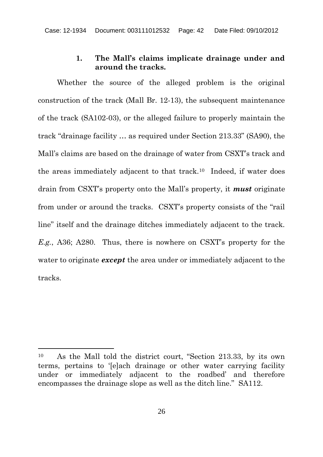### **1. The Mall's claims implicate drainage under and around the tracks.**

Whether the source of the alleged problem is the original construction of the track (Mall Br. 12-13), the subsequent maintenance of the track (SA102-03), or the alleged failure to properly maintain the track "drainage facility … as required under Section 213.33" (SA90), the Mall's claims are based on the drainage of water from CSXT's track and the areas immediately adjacent to that track.<sup>10</sup> Indeed, if water does drain from CSXT's property onto the Mall's property, it *must* originate from under or around the tracks. CSXT's property consists of the "rail line" itself and the drainage ditches immediately adjacent to the track. *E.g.*, A36; A280. Thus, there is nowhere on CSXT's property for the water to originate *except* the area under or immediately adjacent to the tracks.

<sup>10</sup> As the Mall told the district court, "Section 213.33, by its own terms, pertains to '[e]ach drainage or other water carrying facility under or immediately adjacent to the roadbed' and therefore encompasses the drainage slope as well as the ditch line." SA112.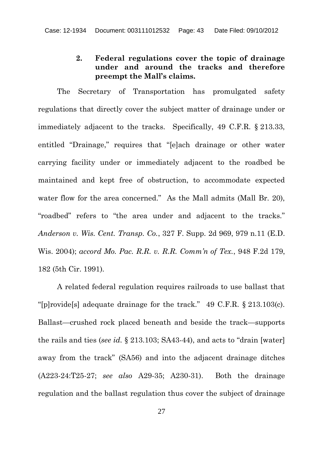## **2. Federal regulations cover the topic of drainage under and around the tracks and therefore preempt the Mall's claims.**

The Secretary of Transportation has promulgated safety regulations that directly cover the subject matter of drainage under or immediately adjacent to the tracks. Specifically, 49 C.F.R. § 213.33, entitled "Drainage," requires that "[e]ach drainage or other water carrying facility under or immediately adjacent to the roadbed be maintained and kept free of obstruction, to accommodate expected water flow for the area concerned." As the Mall admits (Mall Br. 20), "roadbed" refers to "the area under and adjacent to the tracks." *Anderson v. Wis. Cent. Transp. Co.*, 327 F. Supp. 2d 969, 979 n.11 (E.D. Wis. 2004); *accord Mo. Pac. R.R. v. R.R. Comm'n of Tex.*, 948 F.2d 179, 182 (5th Cir. 1991).

A related federal regulation requires railroads to use ballast that "[p]rovide[s] adequate drainage for the track." 49 C.F.R. § 213.103(c). Ballast—crushed rock placed beneath and beside the track—supports the rails and ties (*see id.* § 213.103; SA43-44), and acts to "drain [water] away from the track" (SA56) and into the adjacent drainage ditches (A223-24:T25-27; *see also* A29-35; A230-31). Both the drainage regulation and the ballast regulation thus cover the subject of drainage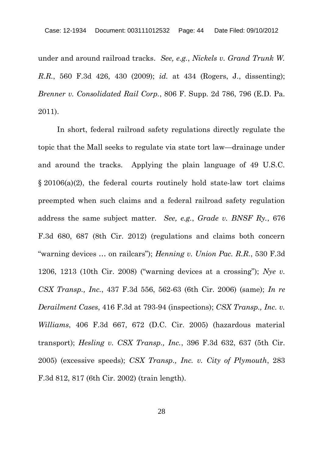under and around railroad tracks. *See, e.g.*, *Nickels v. Grand Trunk W. R.R.*, 560 F.3d 426, 430 (2009); *id.* at 434 (Rogers, J., dissenting); *Brenner v. Consolidated Rail Corp.*, 806 F. Supp. 2d 786, 796 (E.D. Pa. 2011).

In short, federal railroad safety regulations directly regulate the topic that the Mall seeks to regulate via state tort law—drainage under and around the tracks. Applying the plain language of 49 U.S.C. § 20106(a)(2), the federal courts routinely hold state-law tort claims preempted when such claims and a federal railroad safety regulation address the same subject matter. *See, e.g.*, *Grade v. BNSF Ry.*, 676 F.3d 680, 687 (8th Cir. 2012) (regulations and claims both concern "warning devices … on railcars"); *Henning v. Union Pac. R.R.*, 530 F.3d 1206, 1213 (10th Cir. 2008) ("warning devices at a crossing"); *Nye v. CSX Transp., Inc.*, 437 F.3d 556, 562-63 (6th Cir. 2006) (same); *In re Derailment Cases*, 416 F.3d at 793-94 (inspections); *CSX Transp., Inc. v. Williams*, 406 F.3d 667, 672 (D.C. Cir. 2005) (hazardous material transport); *Hesling v. CSX Transp., Inc.*, 396 F.3d 632, 637 (5th Cir. 2005) (excessive speeds); *CSX Transp., Inc. v. City of Plymouth*, 283 F.3d 812, 817 (6th Cir. 2002) (train length).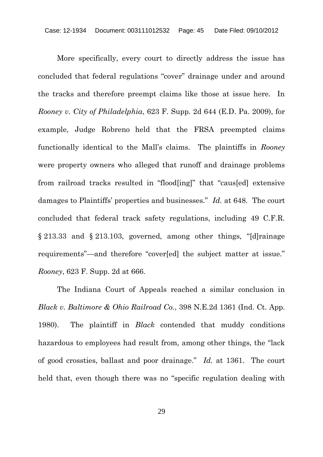More specifically, every court to directly address the issue has concluded that federal regulations "cover" drainage under and around the tracks and therefore preempt claims like those at issue here. In *Rooney v. City of Philadelphia*, 623 F. Supp. 2d 644 (E.D. Pa. 2009), for example, Judge Robreno held that the FRSA preempted claims functionally identical to the Mall's claims. The plaintiffs in *Rooney* were property owners who alleged that runoff and drainage problems from railroad tracks resulted in "flood[ing]" that "caus[ed] extensive damages to Plaintiffs' properties and businesses." *Id.* at 648. The court concluded that federal track safety regulations, including 49 C.F.R. § 213.33 and § 213.103, governed, among other things, "[d]rainage requirements"—and therefore "cover[ed] the subject matter at issue." *Rooney*, 623 F. Supp. 2d at 666.

The Indiana Court of Appeals reached a similar conclusion in *Black v. Baltimore & Ohio Railroad Co.*, 398 N.E.2d 1361 (Ind. Ct. App. 1980). The plaintiff in *Black* contended that muddy conditions hazardous to employees had result from, among other things, the "lack of good crossties, ballast and poor drainage." *Id.* at 1361. The court held that, even though there was no "specific regulation dealing with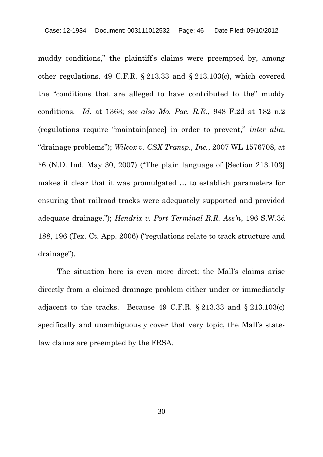muddy conditions," the plaintiff's claims were preempted by, among other regulations, 49 C.F.R. § 213.33 and § 213.103(c), which covered the "conditions that are alleged to have contributed to the" muddy conditions. *Id.* at 1363; *see also Mo. Pac. R.R.*, 948 F.2d at 182 n.2 (regulations require "maintain[ance] in order to prevent," *inter alia*, "drainage problems"); *Wilcox v. CSX Transp., Inc.*, 2007 WL 1576708, at  $*6$  (N.D. Ind. May 30, 2007) ("The plain language of [Section 213.103] makes it clear that it was promulgated … to establish parameters for ensuring that railroad tracks were adequately supported and provided adequate drainage."); *Hendrix v. Port Terminal R.R. Ass'n*, 196 S.W.3d 188, 196 (Tex. Ct. App. 2006) ("regulations relate to track structure and drainage").

The situation here is even more direct: the Mall's claims arise directly from a claimed drainage problem either under or immediately adjacent to the tracks. Because 49 C.F.R. § 213.33 and § 213.103(c) specifically and unambiguously cover that very topic, the Mall's statelaw claims are preempted by the FRSA.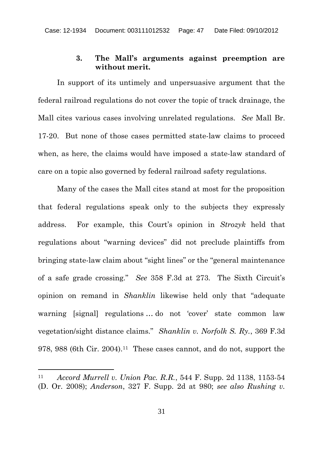#### **3. The Mall's arguments against preemption are without merit.**

In support of its untimely and unpersuasive argument that the federal railroad regulations do not cover the topic of track drainage, the Mall cites various cases involving unrelated regulations. *See* Mall Br. 17-20. But none of those cases permitted state-law claims to proceed when, as here, the claims would have imposed a state-law standard of care on a topic also governed by federal railroad safety regulations.

Many of the cases the Mall cites stand at most for the proposition that federal regulations speak only to the subjects they expressly address. For example, this Court's opinion in *Strozyk* held that regulations about "warning devices" did not preclude plaintiffs from bringing state-law claim about "sight lines" or the "general maintenance of a safe grade crossing." *See* 358 F.3d at 273. The Sixth Circuit's opinion on remand in *Shanklin* likewise held only that "adequate warning [signal] regulations … do not 'cover' state common law vegetation/sight distance claims." *Shanklin v. Norfolk S. Ry.*, 369 F.3d 978, 988 (6th Cir. 2004).<sup>11</sup> These cases cannot, and do not, support the

<sup>11</sup> *Accord Murrell v. Union Pac. R.R.*, 544 F. Supp. 2d 1138, 1153-54 (D. Or. 2008); *Anderson*, 327 F. Supp. 2d at 980; *see also Rushing v.*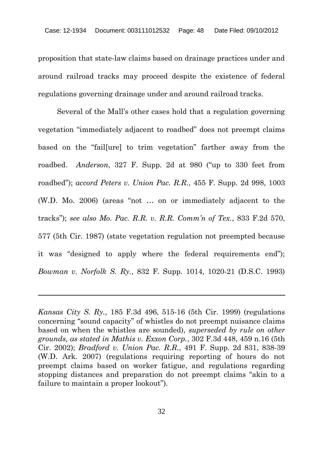proposition that state-law claims based on drainage practices under and around railroad tracks may proceed despite the existence of federal regulations governing drainage under and around railroad tracks.

Several of the Mall's other cases hold that a regulation governing vegetation "immediately adjacent to roadbed" does not preempt claims based on the "fail[ure] to trim vegetation" farther away from the roadbed. *Anderson*, 327 F. Supp. 2d at 980 ("up to 330 feet from roadbed"); *accord Peters v. Union Pac. R.R.*, 455 F. Supp. 2d 998, 1003 (W.D. Mo. 2006) (areas "not … on or immediately adjacent to the tracks"); *see also Mo. Pac. R.R. v. R.R. Comm'n of Tex.*, 833 F.2d 570, 577 (5th Cir. 1987) (state vegetation regulation not preempted because it was "designed to apply where the federal requirements end"); *Bowman v. Norfolk S. Ry.*, 832 F. Supp. 1014, 1020-21 (D.S.C. 1993)

*Kansas City S. Ry.*, 185 F.3d 496, 515-16 (5th Cir. 1999) (regulations concerning "sound capacity" of whistles do not preempt nuisance claims based on when the whistles are sounded), *superseded by rule on other grounds, as stated in Mathis v. Exxon Corp.*, 302 F.3d 448, 459 n.16 (5th Cir. 2002); *Bradford v. Union Pac. R.R.*, 491 F. Supp. 2d 831, 838-39 (W.D. Ark. 2007) (regulations requiring reporting of hours do not preempt claims based on worker fatigue, and regulations regarding stopping distances and preparation do not preempt claims "akin to a failure to maintain a proper lookout").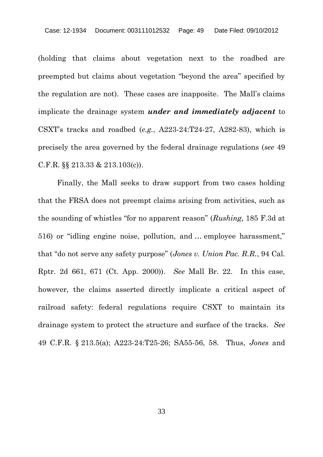(holding that claims about vegetation next to the roadbed are preempted but claims about vegetation "beyond the area" specified by the regulation are not). These cases are inapposite. The Mall's claims implicate the drainage system *under and immediately adjacent* to CSXT's tracks and roadbed (*e.g.*, A223-24:T24-27, A282-83), which is precisely the area governed by the federal drainage regulations (*see* 49 C.F.R. §§ 213.33 & 213.103(c)).

Finally, the Mall seeks to draw support from two cases holding that the FRSA does not preempt claims arising from activities, such as the sounding of whistles "for no apparent reason" (*Rushing*, 185 F.3d at 516) or "idling engine noise, pollution, and … employee harassment," that "do not serve any safety purpose" (*Jones v. Union Pac. R.R.*, 94 Cal. Rptr. 2d 661, 671 (Ct. App. 2000)). *See* Mall Br. 22. In this case, however, the claims asserted directly implicate a critical aspect of railroad safety: federal regulations require CSXT to maintain its drainage system to protect the structure and surface of the tracks. *See* 49 C.F.R. § 213.5(a); A223-24:T25-26; SA55-56, 58. Thus, *Jones* and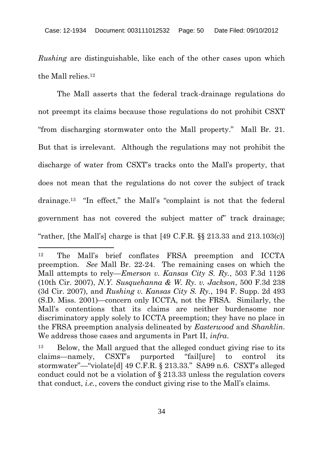*Rushing* are distinguishable, like each of the other cases upon which the Mall relies.<sup>12</sup>

The Mall asserts that the federal track-drainage regulations do not preempt its claims because those regulations do not prohibit CSXT "from discharging stormwater onto the Mall property." Mall Br. 21. But that is irrelevant. Although the regulations may not prohibit the discharge of water from CSXT's tracks onto the Mall's property, that does not mean that the regulations do not cover the subject of track drainage.<sup>13</sup> "In effect," the Mall's "complaint is not that the federal government has not covered the subject matter of" track drainage; "rather, [the Mall's] charge is that  $[49 \text{ C.F.R.}$  §§ 213.33 and 213.103(c)]

<sup>12</sup> The Mall's brief conflates FRSA preemption and ICCTA preemption. *See* Mall Br. 22-24. The remaining cases on which the Mall attempts to rely—*Emerson v. Kansas City S. Ry.*, 503 F.3d 1126 (10th Cir. 2007), *N.Y. Susquehanna & W. Ry. v. Jackson*, 500 F.3d 238 (3d Cir. 2007), and *Rushing v. Kansas City S. Ry.*, 194 F. Supp. 2d 493 (S.D. Miss. 2001)—concern only ICCTA, not the FRSA. Similarly, the Mall's contentions that its claims are neither burdensome nor discriminatory apply solely to ICCTA preemption; they have no place in the FRSA preemption analysis delineated by *Easterwood* and *Shanklin*. We address those cases and arguments in Part II, *infra*.

<sup>13</sup> Below, the Mall argued that the alleged conduct giving rise to its claims—namely, CSXT's purported "fail[ure] to control its stormwater"—"violate[d] 49 C.F.R. § 213.33." SA99 n.6. CSXT's alleged conduct could not be a violation of § 213.33 unless the regulation covers that conduct, *i.e.*, covers the conduct giving rise to the Mall's claims.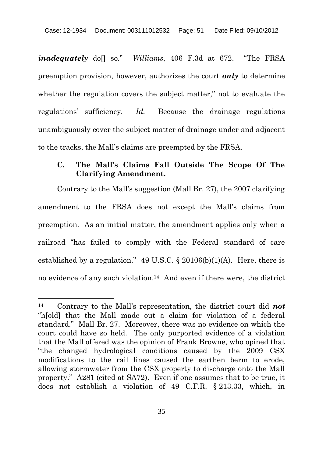*inadequately* doll so." *Williams*, 406 F.3d at 672. "The FRSA preemption provision, however, authorizes the court *only* to determine whether the regulation covers the subject matter," not to evaluate the regulations' sufficiency. *Id.* Because the drainage regulations unambiguously cover the subject matter of drainage under and adjacent to the tracks, the Mall's claims are preempted by the FRSA.

## **C. The Mall's Claims Fall Outside The Scope Of The Clarifying Amendment.**

Contrary to the Mall's suggestion (Mall Br. 27), the 2007 clarifying amendment to the FRSA does not except the Mall's claims from preemption. As an initial matter, the amendment applies only when a railroad "has failed to comply with the Federal standard of care established by a regulation." 49 U.S.C.  $\S$  20106(b)(1)(A). Here, there is no evidence of any such violation.<sup>14</sup> And even if there were, the district

<sup>14</sup> Contrary to the Mall's representation, the district court did *not* "h[old] that the Mall made out a claim for violation of a federal standard." Mall Br. 27. Moreover, there was no evidence on which the court could have so held. The only purported evidence of a violation that the Mall offered was the opinion of Frank Browne, who opined that "the changed hydrological conditions caused by the 2009 CSX modifications to the rail lines caused the earthen berm to erode, allowing stormwater from the CSX property to discharge onto the Mall property." A281 (cited at SA72). Even if one assumes that to be true, it does not establish a violation of 49 C.F.R. § 213.33, which, in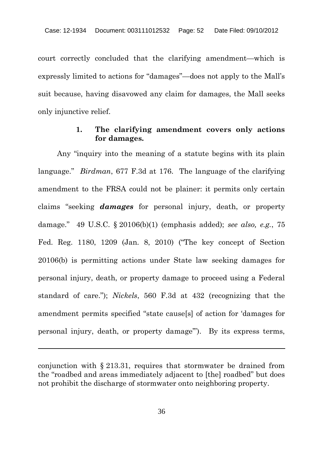court correctly concluded that the clarifying amendment—which is expressly limited to actions for "damages"—does not apply to the Mall's suit because, having disavowed any claim for damages, the Mall seeks only injunctive relief.

### **1. The clarifying amendment covers only actions for damages.**

Any "inquiry into the meaning of a statute begins with its plain language." *Birdman*, 677 F.3d at 176. The language of the clarifying amendment to the FRSA could not be plainer: it permits only certain claims "seeking *damages* for personal injury, death, or property damage." 49 U.S.C. § 20106(b)(1) (emphasis added); *see also, e.g.*, 75 Fed. Reg. 1180, 1209 (Jan. 8, 2010) ("The key concept of Section 20106(b) is permitting actions under State law seeking damages for personal injury, death, or property damage to proceed using a Federal standard of care."); *Nickels*, 560 F.3d at 432 (recognizing that the amendment permits specified "state cause[s] of action for 'damages for personal injury, death, or property damage'"). By its express terms,

conjunction with § 213.31, requires that stormwater be drained from the "roadbed and areas immediately adjacent to [the] roadbed" but does not prohibit the discharge of stormwater onto neighboring property.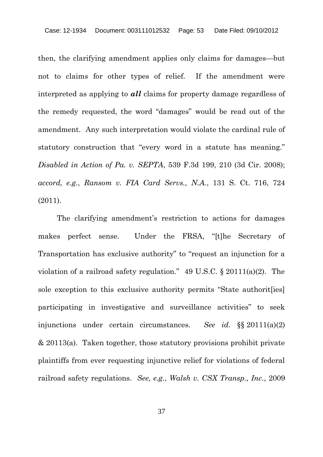then, the clarifying amendment applies only claims for damages—but not to claims for other types of relief. If the amendment were interpreted as applying to *all* claims for property damage regardless of the remedy requested, the word "damages" would be read out of the amendment. Any such interpretation would violate the cardinal rule of statutory construction that "every word in a statute has meaning." *Disabled in Action of Pa. v. SEPTA*, 539 F.3d 199, 210 (3d Cir. 2008); *accord, e.g.*, *Ransom v. FIA Card Servs., N.A.*, 131 S. Ct. 716, 724 (2011).

The clarifying amendment's restriction to actions for damages makes perfect sense. Under the FRSA, "[t]he Secretary of Transportation has exclusive authority" to "request an injunction for a violation of a railroad safety regulation." 49 U.S.C. § 20111(a)(2). The sole exception to this exclusive authority permits "State authorit[ies] participating in investigative and surveillance activities" to seek injunctions under certain circumstances. *See id.* §§ 20111(a)(2) & 20113(a). Taken together, those statutory provisions prohibit private plaintiffs from ever requesting injunctive relief for violations of federal railroad safety regulations. *See, e.g.*, *Walsh v. CSX Transp., Inc.*, 2009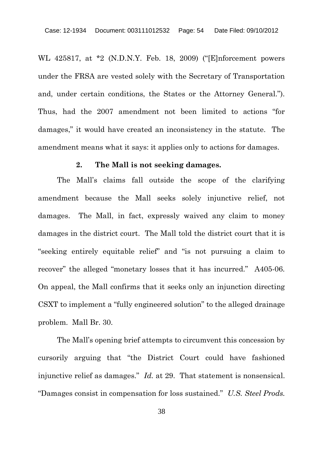WL 425817, at \*2 (N.D.N.Y. Feb. 18, 2009) ("[E]nforcement powers under the FRSA are vested solely with the Secretary of Transportation and, under certain conditions, the States or the Attorney General."). Thus, had the 2007 amendment not been limited to actions "for damages," it would have created an inconsistency in the statute. The amendment means what it says: it applies only to actions for damages.

### **2. The Mall is not seeking damages.**

The Mall's claims fall outside the scope of the clarifying amendment because the Mall seeks solely injunctive relief, not damages. The Mall, in fact, expressly waived any claim to money damages in the district court. The Mall told the district court that it is "seeking entirely equitable relief" and "is not pursuing a claim to recover" the alleged "monetary losses that it has incurred." A405-06. On appeal, the Mall confirms that it seeks only an injunction directing CSXT to implement a "fully engineered solution" to the alleged drainage problem. Mall Br. 30.

The Mall's opening brief attempts to circumvent this concession by cursorily arguing that "the District Court could have fashioned injunctive relief as damages." *Id.* at 29. That statement is nonsensical. "Damages consist in compensation for loss sustained." *U.S. Steel Prods.*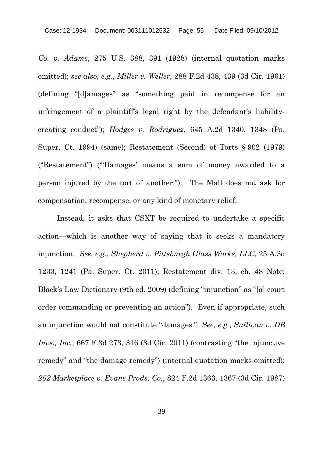*Co. v. Adams*, 275 U.S. 388, 391 (1928) (internal quotation marks omitted); *see also, e.g.*, *Miller v. Weller*, 288 F.2d 438, 439 (3d Cir. 1961) (defining "[d]amages" as "something paid in recompense for an infringement of a plaintiff's legal right by the defendant's liabilitycreating conduct"); *Hodges v. Rodriguez*, 645 A.2d 1340, 1348 (Pa. Super. Ct. 1994) (same); Restatement (Second) of Torts § 902 (1979) ("Restatement") ("'Damages' means a sum of money awarded to a person injured by the tort of another."). The Mall does not ask for compensation, recompense, or any kind of monetary relief.

Instead, it asks that CSXT be required to undertake a specific action—which is another way of saying that it seeks a mandatory injunction. *See, e.g.*, *Shepherd v. Pittsburgh Glass Works, LLC*, 25 A.3d 1233, 1241 (Pa. Super. Ct. 2011); Restatement div. 13, ch. 48 Note; Black's Law Dictionary (9th ed. 2009) (defining "injunction" as "[a] court order commanding or preventing an action"). Even if appropriate, such an injunction would not constitute "damages." *See, e.g.*, *Sullivan v. DB Invs., Inc.*, 667 F.3d 273, 316 (3d Cir. 2011) (contrasting "the injunctive remedy" and "the damage remedy") (internal quotation marks omitted); *202 Marketplace v. Evans Prods. Co.*, 824 F.2d 1363, 1367 (3d Cir. 1987)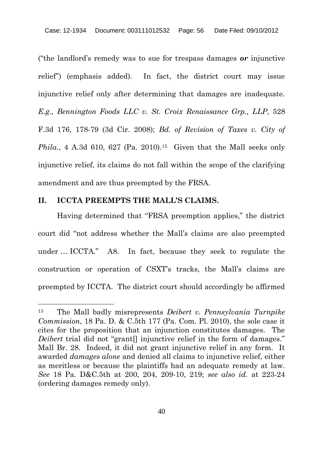("the landlord's remedy was to sue for trespass damages *or* injunctive relief") (emphasis added). In fact, the district court may issue injunctive relief only after determining that damages are inadequate. *E.g., Bennington Foods LLC v. St. Croix Renaissance Grp., LLP*, 528 F.3d 176, 178-79 (3d Cir. 2008); *Bd. of Revision of Taxes v. City of Phila.*, 4 A.3d 610, 627 (Pa. 2010).<sup>15</sup> Given that the Mall seeks only injunctive relief, its claims do not fall within the scope of the clarifying amendment and are thus preempted by the FRSA.

#### **II. ICCTA PREEMPTS THE MALL'S CLAIMS.**

Having determined that "FRSA preemption applies," the district court did "not address whether the Mall's claims are also preempted under … ICCTA." A8. In fact, because they seek to regulate the construction or operation of CSXT's tracks, the Mall's claims are preempted by ICCTA. The district court should accordingly be affirmed

<sup>15</sup> The Mall badly misrepresents *Deibert v. Pennsylvania Turnpike Commission*, 18 Pa. D. & C.5th 177 (Pa. Com. Pl. 2010), the sole case it cites for the proposition that an injunction constitutes damages. The *Deibert* trial did not "grant<sup>[]</sup> injunctive relief in the form of damages." Mall Br. 28. Indeed, it did not grant injunctive relief in any form. It awarded *damages alone* and denied all claims to injunctive relief, either as meritless or because the plaintiffs had an adequate remedy at law. *See* 18 Pa. D&C.5th at 200, 204, 209-10, 219; *see also id.* at 223-24 (ordering damages remedy only).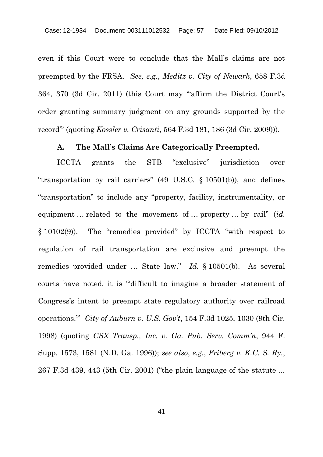even if this Court were to conclude that the Mall's claims are not preempted by the FRSA. *See, e.g.*, *Meditz v. City of Newark*, 658 F.3d 364, 370 (3d Cir. 2011) (this Court may "'affirm the District Court's order granting summary judgment on any grounds supported by the record'" (quoting *Kossler v. Crisanti*, 564 F.3d 181, 186 (3d Cir. 2009))).

### **A. The Mall's Claims Are Categorically Preempted.**

ICCTA grants the STB "exclusive" jurisdiction over "transportation by rail carriers" (49 U.S.C. § 10501(b)), and defines "transportation" to include any "property, facility, instrumentality, or equipment … related to the movement of … property … by rail" (*id.* § 10102(9)). The "remedies provided" by ICCTA "with respect to regulation of rail transportation are exclusive and preempt the remedies provided under … State law." *Id.* § 10501(b). As several courts have noted, it is "'difficult to imagine a broader statement of Congress's intent to preempt state regulatory authority over railroad operations.'" *City of Auburn v. U.S. Gov't*, 154 F.3d 1025, 1030 (9th Cir. 1998) (quoting *CSX Transp., Inc. v. Ga. Pub. Serv. Comm'n*, 944 F. Supp. 1573, 1581 (N.D. Ga. 1996)); *see also*, *e.g.*, *Friberg v. K.C. S. Ry.*, 267 F.3d 439, 443 (5th Cir. 2001) ("the plain language of the statute ...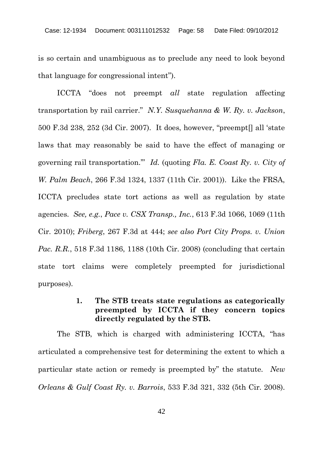is so certain and unambiguous as to preclude any need to look beyond that language for congressional intent").

ICCTA "does not preempt *all* state regulation affecting transportation by rail carrier." *N.Y. Susquehanna & W. Ry. v. Jackson*, 500 F.3d 238, 252 (3d Cir. 2007). It does, however, "preempt[] all 'state laws that may reasonably be said to have the effect of managing or governing rail transportation.'" *Id.* (quoting *Fla. E. Coast Ry. v. City of W. Palm Beach*, 266 F.3d 1324, 1337 (11th Cir. 2001)). Like the FRSA, ICCTA precludes state tort actions as well as regulation by state agencies. *See, e.g.*, *Pace v. CSX Transp., Inc.*, 613 F.3d 1066, 1069 (11th Cir. 2010); *Friberg*, 267 F.3d at 444; *see also Port City Props. v. Union Pac. R.R.*, 518 F.3d 1186, 1188 (10th Cir. 2008) (concluding that certain state tort claims were completely preempted for jurisdictional purposes).

## **1. The STB treats state regulations as categorically preempted by ICCTA if they concern topics directly regulated by the STB.**

The STB, which is charged with administering ICCTA, "has articulated a comprehensive test for determining the extent to which a particular state action or remedy is preempted by" the statute. *New Orleans & Gulf Coast Ry. v. Barrois*, 533 F.3d 321, 332 (5th Cir. 2008).

42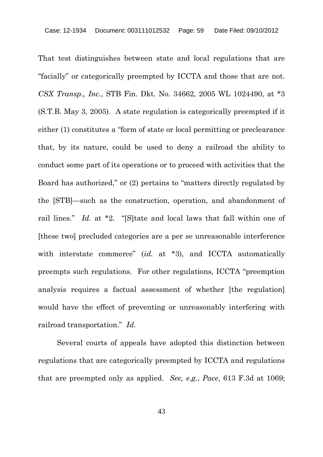That test distinguishes between state and local regulations that are "facially" or categorically preempted by ICCTA and those that are not. *CSX Transp., Inc.*, STB Fin. Dkt. No. 34662, 2005 WL 1024490, at \*3 (S.T.B. May 3, 2005). A state regulation is categorically preempted if it either (1) constitutes a "form of state or local permitting or preclearance that, by its nature, could be used to deny a railroad the ability to conduct some part of its operations or to proceed with activities that the Board has authorized," or (2) pertains to "matters directly regulated by the [STB]—such as the construction, operation, and abandonment of rail lines." *Id.* at \*2. "[S]tate and local laws that fall within one of [these two] precluded categories are a per se unreasonable interference with interstate commerce" (*id.* at \*3), and ICCTA automatically preempts such regulations. For other regulations, ICCTA "preemption analysis requires a factual assessment of whether [the regulation] would have the effect of preventing or unreasonably interfering with railroad transportation." *Id.*

Several courts of appeals have adopted this distinction between regulations that are categorically preempted by ICCTA and regulations that are preempted only as applied. *See, e.g.*, *Pace*, 613 F.3d at 1069;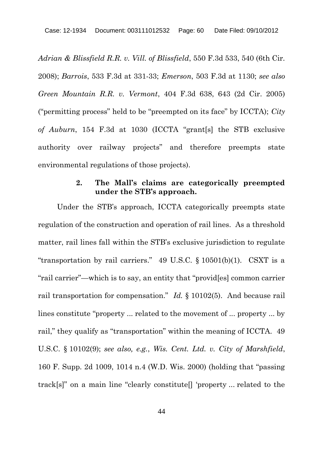*Adrian & Blissfield R.R. v. Vill. of Blissfield*, 550 F.3d 533, 540 (6th Cir. 2008); *Barrois*, 533 F.3d at 331-33; *Emerson*, 503 F.3d at 1130; *see also Green Mountain R.R. v. Vermont*, 404 F.3d 638, 643 (2d Cir. 2005) ("permitting process" held to be "preempted on its face" by ICCTA); *City of Auburn*, 154 F.3d at 1030 (ICCTA "grant[s] the STB exclusive authority over railway projects" and therefore preempts state environmental regulations of those projects).

## **2. The Mall's claims are categorically preempted under the STB's approach.**

Under the STB's approach, ICCTA categorically preempts state regulation of the construction and operation of rail lines. As a threshold matter, rail lines fall within the STB's exclusive jurisdiction to regulate "transportation by rail carriers." 49 U.S.C.  $\S$  10501(b)(1). CSXT is a "rail carrier"—which is to say, an entity that "provid[es] common carrier rail transportation for compensation." *Id.* § 10102(5). And because rail lines constitute "property ... related to the movement of ... property ... by rail," they qualify as "transportation" within the meaning of ICCTA. 49 U.S.C. § 10102(9); *see also, e.g.*, *Wis. Cent. Ltd. v. City of Marshfield*, 160 F. Supp. 2d 1009, 1014 n.4 (W.D. Wis. 2000) (holding that "passing track[s]" on a main line "clearly constitute[] 'property ... related to the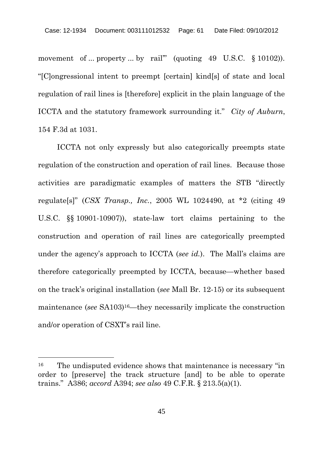movement of ... property ... by rail"" (quoting 49 U.S.C. § 10102)). "[C]ongressional intent to preempt [certain] kind[s] of state and local regulation of rail lines is [therefore] explicit in the plain language of the ICCTA and the statutory framework surrounding it." *City of Auburn*, 154 F.3d at 1031.

ICCTA not only expressly but also categorically preempts state regulation of the construction and operation of rail lines. Because those activities are paradigmatic examples of matters the STB "directly regulate[s]" (*CSX Transp., Inc.*, 2005 WL 1024490, at \*2 (citing 49 U.S.C. §§ 10901-10907)), state-law tort claims pertaining to the construction and operation of rail lines are categorically preempted under the agency's approach to ICCTA (*see id.*). The Mall's claims are therefore categorically preempted by ICCTA, because—whether based on the track's original installation (*see* Mall Br. 12-15) or its subsequent maintenance (*see* SA103)16—they necessarily implicate the construction and/or operation of CSXT's rail line.

<sup>&</sup>lt;sup>16</sup> The undisputed evidence shows that maintenance is necessary "in order to [preserve] the track structure [and] to be able to operate trains." A386; *accord* A394; *see also* 49 C.F.R. § 213.5(a)(1).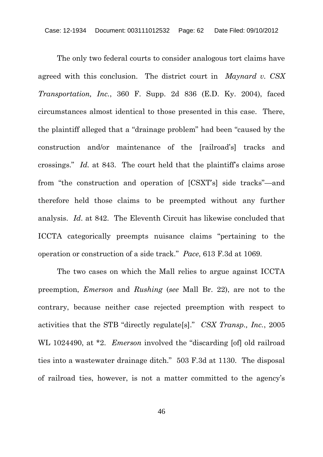The only two federal courts to consider analogous tort claims have agreed with this conclusion. The district court in *Maynard v. CSX Transportation, Inc.*, 360 F. Supp. 2d 836 (E.D. Ky. 2004), faced circumstances almost identical to those presented in this case. There, the plaintiff alleged that a "drainage problem" had been "caused by the construction and/or maintenance of the [railroad's] tracks and crossings." *Id.* at 843. The court held that the plaintiff's claims arose from "the construction and operation of [CSXT's] side tracks"—and therefore held those claims to be preempted without any further analysis. *Id*. at 842. The Eleventh Circuit has likewise concluded that ICCTA categorically preempts nuisance claims "pertaining to the operation or construction of a side track." *Pace*, 613 F.3d at 1069.

The two cases on which the Mall relies to argue against ICCTA preemption, *Emerson* and *Rushing* (*see* Mall Br. 22), are not to the contrary, because neither case rejected preemption with respect to activities that the STB "directly regulate[s]." *CSX Transp., Inc.*, 2005 WL 1024490, at \*2. *Emerson* involved the "discarding [of] old railroad ties into a wastewater drainage ditch." 503 F.3d at 1130. The disposal of railroad ties, however, is not a matter committed to the agency's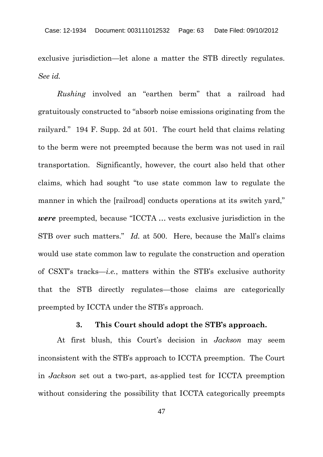exclusive jurisdiction—let alone a matter the STB directly regulates. *See id.*

*Rushing* involved an "earthen berm" that a railroad had gratuitously constructed to "absorb noise emissions originating from the railyard." 194 F. Supp. 2d at 501. The court held that claims relating to the berm were not preempted because the berm was not used in rail transportation. Significantly, however, the court also held that other claims, which had sought "to use state common law to regulate the manner in which the [railroad] conducts operations at its switch yard," *were* preempted, because "ICCTA … vests exclusive jurisdiction in the STB over such matters." *Id.* at 500. Here, because the Mall's claims would use state common law to regulate the construction and operation of CSXT's tracks—*i.e.*, matters within the STB's exclusive authority that the STB directly regulates—those claims are categorically preempted by ICCTA under the STB's approach.

#### **3. This Court should adopt the STB's approach.**

At first blush, this Court's decision in *Jackson* may seem inconsistent with the STB's approach to ICCTA preemption. The Court in *Jackson* set out a two-part, as-applied test for ICCTA preemption without considering the possibility that ICCTA categorically preempts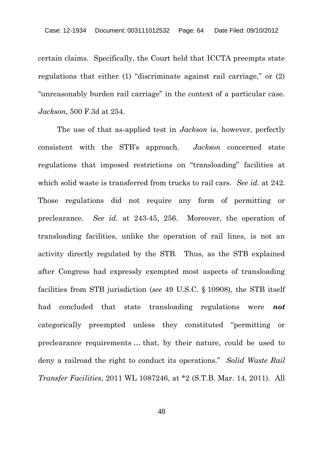certain claims. Specifically, the Court held that ICCTA preempts state regulations that either (1) "discriminate against rail carriage," or (2) "unreasonably burden rail carriage" in the context of a particular case. *Jackson*, 500 F.3d at 254.

The use of that as-applied test in *Jackson* is, however, perfectly consistent with the STB's approach. *Jackson* concerned state regulations that imposed restrictions on "transloading" facilities at which solid waste is transferred from trucks to rail cars. *See id.* at 242. Those regulations did not require any form of permitting or preclearance. *See id.* at 243-45, 256. Moreover, the operation of transloading facilities, unlike the operation of rail lines, is not an activity directly regulated by the STB. Thus, as the STB explained after Congress had expressly exempted most aspects of transloading facilities from STB jurisdiction (*see* 49 U.S.C. § 10908), the STB itself had concluded that state transloading regulations were *not* categorically preempted unless they constituted "permitting or preclearance requirements … that, by their nature, could be used to deny a railroad the right to conduct its operations." *Solid Waste Rail Transfer Facilities*, 2011 WL 1087246, at \*2 (S.T.B. Mar. 14, 2011). All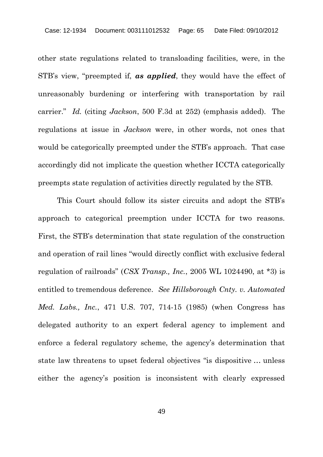other state regulations related to transloading facilities, were, in the STB's view, "preempted if, *as applied*, they would have the effect of unreasonably burdening or interfering with transportation by rail carrier." *Id.* (citing *Jackson*, 500 F.3d at 252) (emphasis added). The regulations at issue in *Jackson* were, in other words, not ones that would be categorically preempted under the STB's approach. That case accordingly did not implicate the question whether ICCTA categorically preempts state regulation of activities directly regulated by the STB.

This Court should follow its sister circuits and adopt the STB's approach to categorical preemption under ICCTA for two reasons. First, the STB's determination that state regulation of the construction and operation of rail lines "would directly conflict with exclusive federal regulation of railroads" (*CSX Transp., Inc.*, 2005 WL 1024490, at \*3) is entitled to tremendous deference. *See Hillsborough Cnty. v. Automated Med. Labs., Inc.*, 471 U.S. 707, 714-15 (1985) (when Congress has delegated authority to an expert federal agency to implement and enforce a federal regulatory scheme, the agency's determination that state law threatens to upset federal objectives "is dispositive … unless either the agency's position is inconsistent with clearly expressed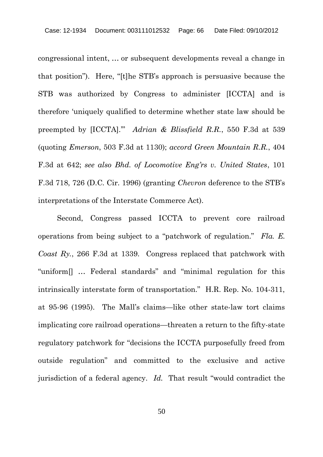congressional intent, … or subsequent developments reveal a change in that position"). Here, "[t]he STB's approach is persuasive because the STB was authorized by Congress to administer [ICCTA] and is therefore 'uniquely qualified to determine whether state law should be preempted by [ICCTA].'" *Adrian & Blissfield R.R.*, 550 F.3d at 539 (quoting *Emerson*, 503 F.3d at 1130); *accord Green Mountain R.R.*, 404 F.3d at 642; *see also Bhd. of Locomotive Eng'rs v. United States*, 101 F.3d 718, 726 (D.C. Cir. 1996) (granting *Chevron* deference to the STB's interpretations of the Interstate Commerce Act).

Second, Congress passed ICCTA to prevent core railroad operations from being subject to a "patchwork of regulation." *Fla. E. Coast Ry.*, 266 F.3d at 1339. Congress replaced that patchwork with "uniform[] … Federal standards" and "minimal regulation for this intrinsically interstate form of transportation." H.R. Rep. No. 104-311, at 95-96 (1995). The Mall's claims—like other state-law tort claims implicating core railroad operations—threaten a return to the fifty-state regulatory patchwork for "decisions the ICCTA purposefully freed from outside regulation" and committed to the exclusive and active jurisdiction of a federal agency. *Id.* That result "would contradict the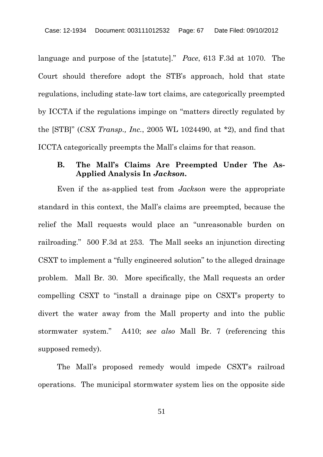language and purpose of the [statute]." *Pace*, 613 F.3d at 1070. The Court should therefore adopt the STB's approach, hold that state regulations, including state-law tort claims, are categorically preempted by ICCTA if the regulations impinge on "matters directly regulated by the [STB]" (*CSX Transp., Inc.*, 2005 WL 1024490, at \*2), and find that ICCTA categorically preempts the Mall's claims for that reason.

### **B. The Mall's Claims Are Preempted Under The As-Applied Analysis In** *Jackson***.**

Even if the as-applied test from *Jackson* were the appropriate standard in this context, the Mall's claims are preempted, because the relief the Mall requests would place an "unreasonable burden on railroading." 500 F.3d at 253. The Mall seeks an injunction directing CSXT to implement a "fully engineered solution" to the alleged drainage problem. Mall Br. 30. More specifically, the Mall requests an order compelling CSXT to "install a drainage pipe on CSXT's property to divert the water away from the Mall property and into the public stormwater system." A410; *see also* Mall Br. 7 (referencing this supposed remedy).

The Mall's proposed remedy would impede CSXT's railroad operations. The municipal stormwater system lies on the opposite side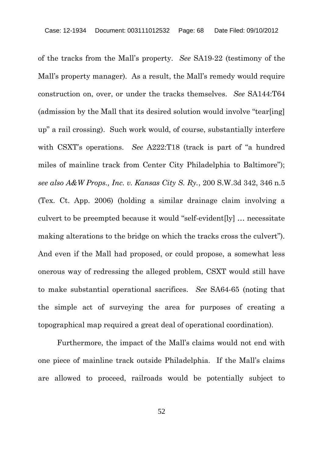of the tracks from the Mall's property. *See* SA19-22 (testimony of the Mall's property manager). As a result, the Mall's remedy would require construction on, over, or under the tracks themselves. *See* SA144:T64 (admission by the Mall that its desired solution would involve "tear[ing] up" a rail crossing). Such work would, of course, substantially interfere with CSXT's operations. *See* A222:T18 (track is part of "a hundred miles of mainline track from Center City Philadelphia to Baltimore"); *see also A&W Props., Inc. v. Kansas City S. Ry.*, 200 S.W.3d 342, 346 n.5 (Tex. Ct. App. 2006) (holding a similar drainage claim involving a culvert to be preempted because it would "self-evident[ly] … necessitate making alterations to the bridge on which the tracks cross the culvert"). And even if the Mall had proposed, or could propose, a somewhat less onerous way of redressing the alleged problem, CSXT would still have to make substantial operational sacrifices. *See* SA64-65 (noting that the simple act of surveying the area for purposes of creating a topographical map required a great deal of operational coordination).

Furthermore, the impact of the Mall's claims would not end with one piece of mainline track outside Philadelphia. If the Mall's claims are allowed to proceed, railroads would be potentially subject to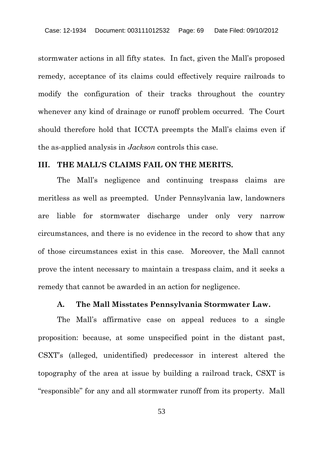stormwater actions in all fifty states. In fact, given the Mall's proposed remedy, acceptance of its claims could effectively require railroads to modify the configuration of their tracks throughout the country whenever any kind of drainage or runoff problem occurred. The Court should therefore hold that ICCTA preempts the Mall's claims even if the as-applied analysis in *Jackson* controls this case.

#### **III. THE MALL'S CLAIMS FAIL ON THE MERITS.**

The Mall's negligence and continuing trespass claims are meritless as well as preempted. Under Pennsylvania law, landowners are liable for stormwater discharge under only very narrow circumstances, and there is no evidence in the record to show that any of those circumstances exist in this case. Moreover, the Mall cannot prove the intent necessary to maintain a trespass claim, and it seeks a remedy that cannot be awarded in an action for negligence.

#### **A. The Mall Misstates Pennsylvania Stormwater Law.**

The Mall's affirmative case on appeal reduces to a single proposition: because, at some unspecified point in the distant past, CSXT's (alleged, unidentified) predecessor in interest altered the topography of the area at issue by building a railroad track, CSXT is "responsible" for any and all stormwater runoff from its property. Mall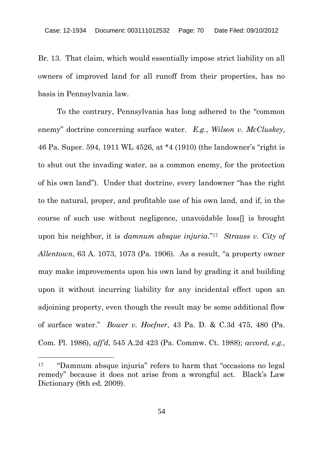Br. 13. That claim, which would essentially impose strict liability on all owners of improved land for all runoff from their properties, has no basis in Pennsylvania law.

To the contrary, Pennsylvania has long adhered to the "common enemy" doctrine concerning surface water. *E.g.*, *Wilson v. McCluskey*, 46 Pa. Super. 594, 1911 WL 4526, at \*4 (1910) (the landowner's "right is to shut out the invading water, as a common enemy, for the protection of his own land"). Under that doctrine, every landowner "has the right to the natural, proper, and profitable use of his own land, and if, in the course of such use without negligence, unavoidable loss[] is brought upon his neighbor, it is *damnum absque injuria*."<sup>17</sup> *Strauss v. City of Allentown*, 63 A. 1073, 1073 (Pa. 1906). As a result, "a property owner may make improvements upon his own land by grading it and building upon it without incurring liability for any incidental effect upon an adjoining property, even though the result may be some additional flow of surface water." *Bower v. Hoefner*, 43 Pa. D. & C.3d 475, 480 (Pa. Com. Pl. 1986), *aff'd*, 545 A.2d 423 (Pa. Commw. Ct. 1988); *accord, e.g.*,

<sup>17</sup> "Damnum absque injuria" refers to harm that "occasions no legal remedy" because it does not arise from a wrongful act. Black's Law Dictionary (9th ed. 2009).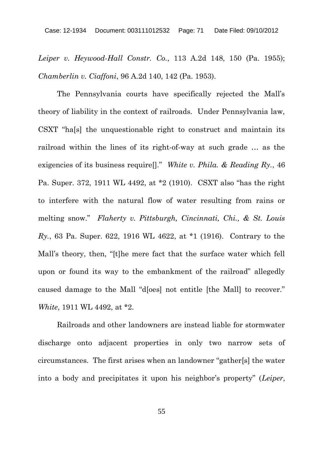*Leiper v. Heywood-Hall Constr. Co.*, 113 A.2d 148, 150 (Pa. 1955); *Chamberlin v. Ciaffoni*, 96 A.2d 140, 142 (Pa. 1953).

The Pennsylvania courts have specifically rejected the Mall's theory of liability in the context of railroads. Under Pennsylvania law, CSXT "ha[s] the unquestionable right to construct and maintain its railroad within the lines of its right-of-way at such grade … as the exigencies of its business require[]." *White v. Phila. & Reading Ry.*, 46 Pa. Super. 372, 1911 WL 4492, at \*2 (1910). CSXT also "has the right to interfere with the natural flow of water resulting from rains or melting snow." *Flaherty v. Pittsburgh, Cincinnati, Chi., & St. Louis Ry.*, 63 Pa. Super. 622, 1916 WL 4622, at \*1 (1916). Contrary to the Mall's theory, then, "[t]he mere fact that the surface water which fell upon or found its way to the embankment of the railroad" allegedly caused damage to the Mall "d[oes] not entitle [the Mall] to recover." *White*, 1911 WL 4492, at \*2.

Railroads and other landowners are instead liable for stormwater discharge onto adjacent properties in only two narrow sets of circumstances. The first arises when an landowner "gather[s] the water into a body and precipitates it upon his neighbor's property" (*Leiper*,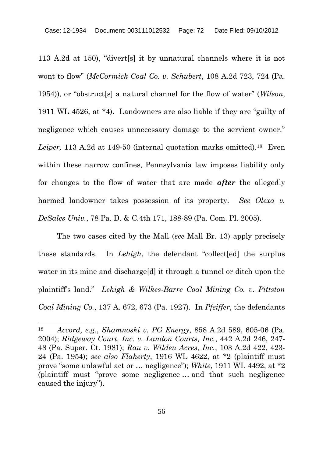113 A.2d at 150), "divert[s] it by unnatural channels where it is not wont to flow" (*McCormick Coal Co. v. Schubert*, 108 A.2d 723, 724 (Pa. 1954)), or "obstruct[s] a natural channel for the flow of water" (*Wilson*, 1911 WL 4526, at \*4). Landowners are also liable if they are "guilty of negligence which causes unnecessary damage to the servient owner." *Leiper,* 113 A.2d at 149-50 (internal quotation marks omitted).<sup>18</sup> Even within these narrow confines, Pennsylvania law imposes liability only for changes to the flow of water that are made *after* the allegedly harmed landowner takes possession of its property. *See Olexa v. DeSales Univ.*, 78 Pa. D. & C.4th 171, 188-89 (Pa. Com. Pl. 2005).

The two cases cited by the Mall (*see* Mall Br. 13) apply precisely these standards. In *Lehigh*, the defendant "collect[ed] the surplus water in its mine and discharge[d] it through a tunnel or ditch upon the plaintiff's land." *Lehigh & Wilkes-Barre Coal Mining Co. v. Pittston Coal Mining Co.*, 137 A. 672, 673 (Pa. 1927). In *Pfeiffer*, the defendants

<sup>18</sup> *Accord, e.g.*, *Shamnoski v. PG Energy*, 858 A.2d 589, 605-06 (Pa. 2004); *Ridgeway Court, Inc. v. Landon Courts, Inc.*, 442 A.2d 246, 247- 48 (Pa. Super. Ct. 1981); *Rau v. Wilden Acres, Inc.*, 103 A.2d 422, 423- 24 (Pa. 1954); *see also Flaherty*, 1916 WL 4622, at \*2 (plaintiff must prove "some unlawful act or … negligence"); *White*, 1911 WL 4492, at \*2 (plaintiff must "prove some negligence … and that such negligence caused the injury").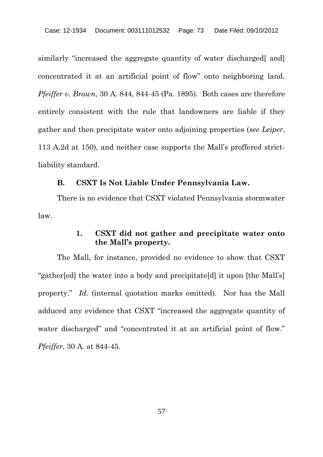similarly "increased the aggregate quantity of water discharged [and] concentrated it at an artificial point of flow" onto neighboring land. *Pfeiffer v. Brown*, 30 A. 844, 844-45 (Pa. 1895). Both cases are therefore entirely consistent with the rule that landowners are liable if they gather and then precipitate water onto adjoining properties (*see Leiper*, 113 A.2d at 150), and neither case supports the Mall's proffered strictliability standard.

#### **B. CSXT Is Not Liable Under Pennsylvania Law.**

There is no evidence that CSXT violated Pennsylvania stormwater law.

## **1. CSXT did not gather and precipitate water onto the Mall's property.**

The Mall, for instance, provided no evidence to show that CSXT "gather[ed] the water into a body and precipitate[d] it upon [the Mall's] property." *Id.* (internal quotation marks omitted). Nor has the Mall adduced any evidence that CSXT "increased the aggregate quantity of water discharged" and "concentrated it at an artificial point of flow." *Pfeiffer*, 30 A. at 844-45.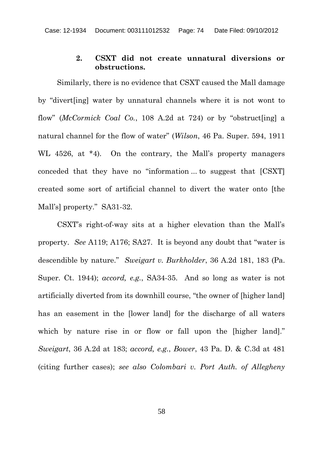### **2. CSXT did not create unnatural diversions or obstructions.**

Similarly, there is no evidence that CSXT caused the Mall damage by "divert[ing] water by unnatural channels where it is not wont to flow" (*McCormick Coal Co.*, 108 A.2d at 724) or by "obstruct[ing] a natural channel for the flow of water" (*Wilson*, 46 Pa. Super. 594, 1911 WL 4526, at \*4). On the contrary, the Mall's property managers conceded that they have no "information ... to suggest that [CSXT] created some sort of artificial channel to divert the water onto [the Mall's] property." SA31-32.

CSXT's right-of-way sits at a higher elevation than the Mall's property. *See* A119; A176; SA27. It is beyond any doubt that "water is descendible by nature." *Sweigart v. Burkholder*, 36 A.2d 181, 183 (Pa. Super. Ct. 1944); *accord, e.g.*, SA34-35. And so long as water is not artificially diverted from its downhill course, "the owner of [higher land] has an easement in the [lower land] for the discharge of all waters which by nature rise in or flow or fall upon the [higher land]." *Sweigart*, 36 A.2d at 183; *accord, e.g.*, *Bower*, 43 Pa. D. & C.3d at 481 (citing further cases); *see also Colombari v. Port Auth. of Allegheny*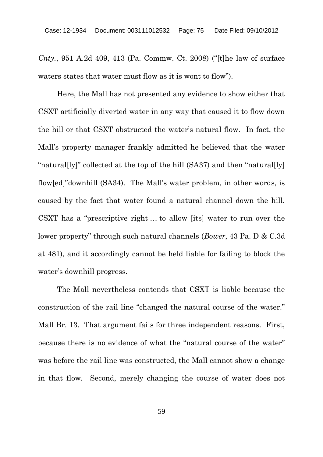*Cnty.*, 951 A.2d 409, 413 (Pa. Commw. Ct. 2008) ("[t]he law of surface waters states that water must flow as it is wont to flow").

Here, the Mall has not presented any evidence to show either that CSXT artificially diverted water in any way that caused it to flow down the hill or that CSXT obstructed the water's natural flow. In fact, the Mall's property manager frankly admitted he believed that the water "natural[ly]" collected at the top of the hill (SA37) and then "natural[ly] flow[ed]"downhill (SA34). The Mall's water problem, in other words, is caused by the fact that water found a natural channel down the hill. CSXT has a "prescriptive right … to allow [its] water to run over the lower property" through such natural channels (*Bower*, 43 Pa. D & C.3d at 481), and it accordingly cannot be held liable for failing to block the water's downhill progress.

The Mall nevertheless contends that CSXT is liable because the construction of the rail line "changed the natural course of the water." Mall Br. 13. That argument fails for three independent reasons. First, because there is no evidence of what the "natural course of the water" was before the rail line was constructed, the Mall cannot show a change in that flow. Second, merely changing the course of water does not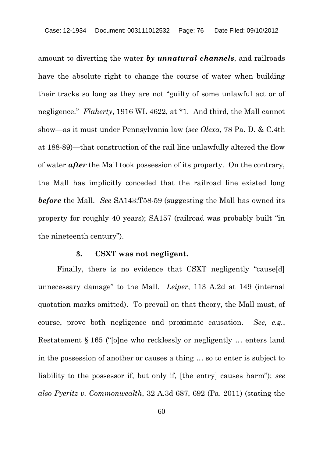amount to diverting the water *by unnatural channels*, and railroads have the absolute right to change the course of water when building their tracks so long as they are not "guilty of some unlawful act or of negligence." *Flaherty*, 1916 WL 4622, at \*1. And third, the Mall cannot show—as it must under Pennsylvania law (*see Olexa*, 78 Pa. D. & C.4th at 188-89)—that construction of the rail line unlawfully altered the flow of water *after* the Mall took possession of its property. On the contrary, the Mall has implicitly conceded that the railroad line existed long *before* the Mall. *See* SA143:T58-59 (suggesting the Mall has owned its property for roughly 40 years); SA157 (railroad was probably built "in the nineteenth century").

#### **3. CSXT was not negligent.**

Finally, there is no evidence that CSXT negligently "cause[d] unnecessary damage" to the Mall. *Leiper*, 113 A.2d at 149 (internal quotation marks omitted). To prevail on that theory, the Mall must, of course, prove both negligence and proximate causation. *See, e.g.*, Restatement § 165 ("[o]ne who recklessly or negligently … enters land in the possession of another or causes a thing … so to enter is subject to liability to the possessor if, but only if, [the entry] causes harm"); *see also Pyeritz v. Commonwealth*, 32 A.3d 687, 692 (Pa. 2011) (stating the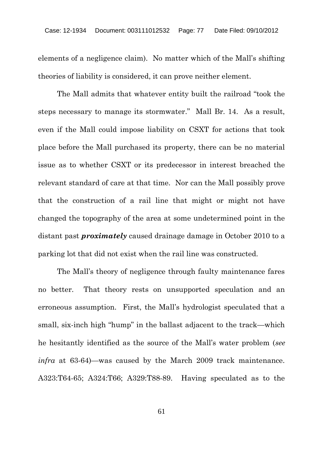elements of a negligence claim). No matter which of the Mall's shifting theories of liability is considered, it can prove neither element.

The Mall admits that whatever entity built the railroad "took the steps necessary to manage its stormwater." Mall Br. 14. As a result, even if the Mall could impose liability on CSXT for actions that took place before the Mall purchased its property, there can be no material issue as to whether CSXT or its predecessor in interest breached the relevant standard of care at that time. Nor can the Mall possibly prove that the construction of a rail line that might or might not have changed the topography of the area at some undetermined point in the distant past *proximately* caused drainage damage in October 2010 to a parking lot that did not exist when the rail line was constructed.

The Mall's theory of negligence through faulty maintenance fares no better. That theory rests on unsupported speculation and an erroneous assumption. First, the Mall's hydrologist speculated that a small, six-inch high "hump" in the ballast adjacent to the track—which he hesitantly identified as the source of the Mall's water problem (*see infra* at 63-64)—was caused by the March 2009 track maintenance. A323:T64-65; A324:T66; A329:T88-89. Having speculated as to the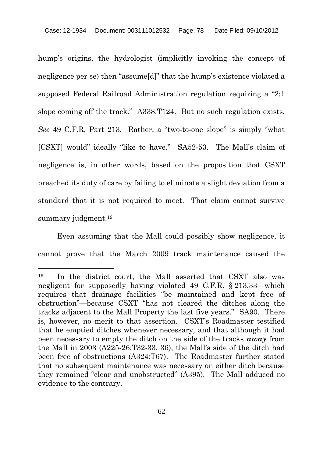hump's origins, the hydrologist (implicitly invoking the concept of negligence per se) then "assume[d]" that the hump's existence violated a supposed Federal Railroad Administration regulation requiring a "2:1 slope coming off the track." A338:T124. But no such regulation exists. *See* 49 C.F.R. Part 213. Rather, a "two-to-one slope" is simply "what [CSXT] would" ideally "like to have." SA52-53. The Mall's claim of negligence is, in other words, based on the proposition that CSXT breached its duty of care by failing to eliminate a slight deviation from a standard that it is not required to meet. That claim cannot survive summary judgment.<sup>19</sup>

Even assuming that the Mall could possibly show negligence, it cannot prove that the March 2009 track maintenance caused the

<sup>19</sup> In the district court, the Mall asserted that CSXT also was negligent for supposedly having violated 49 C.F.R. § 213.33—which requires that drainage facilities "be maintained and kept free of obstruction"—because CSXT "has not cleared the ditches along the tracks adjacent to the Mall Property the last five years." SA90. There is, however, no merit to that assertion. CSXT's Roadmaster testified that he emptied ditches whenever necessary, and that although it had been necessary to empty the ditch on the side of the tracks *away* from the Mall in 2003 (A225-26:T32-33, 36), the Mall's side of the ditch had been free of obstructions (A324:T67). The Roadmaster further stated that no subsequent maintenance was necessary on either ditch because they remained "clear and unobstructed" (A395). The Mall adduced no evidence to the contrary.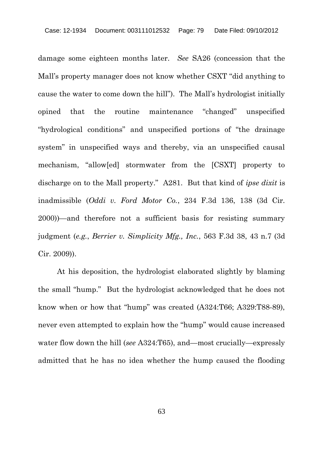damage some eighteen months later. *See* SA26 (concession that the Mall's property manager does not know whether CSXT "did anything to cause the water to come down the hill"). The Mall's hydrologist initially opined that the routine maintenance "changed" unspecified "hydrological conditions" and unspecified portions of "the drainage system" in unspecified ways and thereby, via an unspecified causal mechanism, "allow[ed] stormwater from the [CSXT] property to discharge on to the Mall property." A281. But that kind of *ipse dixit* is inadmissible (*Oddi v. Ford Motor Co.*, 234 F.3d 136, 138 (3d Cir. 2000))—and therefore not a sufficient basis for resisting summary judgment (*e.g.*, *Berrier v. Simplicity Mfg., Inc.*, 563 F.3d 38, 43 n.7 (3d Cir. 2009)).

At his deposition, the hydrologist elaborated slightly by blaming the small "hump." But the hydrologist acknowledged that he does not know when or how that "hump" was created (A324:T66; A329:T88-89), never even attempted to explain how the "hump" would cause increased water flow down the hill (*see* A324:T65), and—most crucially—expressly admitted that he has no idea whether the hump caused the flooding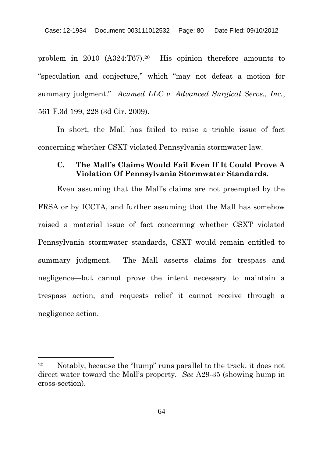problem in 2010 (A324:T67).<sup>20</sup> His opinion therefore amounts to "speculation and conjecture," which "may not defeat a motion for summary judgment." *Acumed LLC v. Advanced Surgical Servs., Inc.*, 561 F.3d 199, 228 (3d Cir. 2009).

In short, the Mall has failed to raise a triable issue of fact concerning whether CSXT violated Pennsylvania stormwater law.

## **C. The Mall's Claims Would Fail Even If It Could Prove A Violation Of Pennsylvania Stormwater Standards.**

Even assuming that the Mall's claims are not preempted by the FRSA or by ICCTA, and further assuming that the Mall has somehow raised a material issue of fact concerning whether CSXT violated Pennsylvania stormwater standards, CSXT would remain entitled to summary judgment. The Mall asserts claims for trespass and negligence—but cannot prove the intent necessary to maintain a trespass action, and requests relief it cannot receive through a negligence action.

<sup>20</sup> Notably, because the "hump" runs parallel to the track, it does not direct water toward the Mall's property. *See* A29-35 (showing hump in cross-section).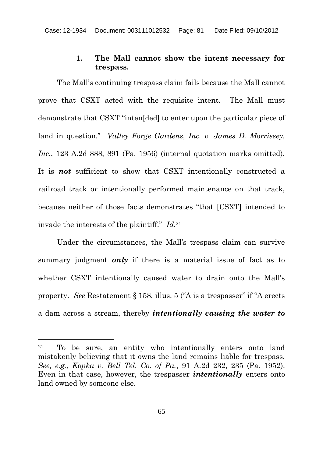## **1. The Mall cannot show the intent necessary for trespass.**

The Mall's continuing trespass claim fails because the Mall cannot prove that CSXT acted with the requisite intent. The Mall must demonstrate that CSXT "inten[ded] to enter upon the particular piece of land in question." *Valley Forge Gardens, Inc. v. James D. Morrissey, Inc.*, 123 A.2d 888, 891 (Pa. 1956) (internal quotation marks omitted). It is *not* sufficient to show that CSXT intentionally constructed a railroad track or intentionally performed maintenance on that track, because neither of those facts demonstrates "that [CSXT] intended to invade the interests of the plaintiff." *Id.*<sup>21</sup>

Under the circumstances, the Mall's trespass claim can survive summary judgment *only* if there is a material issue of fact as to whether CSXT intentionally caused water to drain onto the Mall's property. *See* Restatement § 158, illus. 5 ("A is a trespasser" if "A erects a dam across a stream, thereby *intentionally causing the water to*

<sup>21</sup> To be sure, an entity who intentionally enters onto land mistakenly believing that it owns the land remains liable for trespass. *See, e.g.*, *Kopka v. Bell Tel. Co. of Pa.*, 91 A.2d 232, 235 (Pa. 1952). Even in that case, however, the trespasser *intentionally* enters onto land owned by someone else.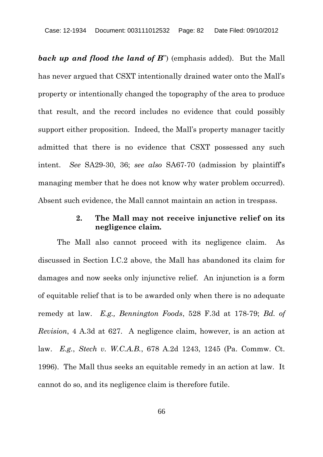**back up and flood the land of B**") (emphasis added). But the Mall has never argued that CSXT intentionally drained water onto the Mall's property or intentionally changed the topography of the area to produce that result, and the record includes no evidence that could possibly support either proposition. Indeed, the Mall's property manager tacitly admitted that there is no evidence that CSXT possessed any such intent. *See* SA29-30, 36; *see also* SA67-70 (admission by plaintiff's managing member that he does not know why water problem occurred). Absent such evidence, the Mall cannot maintain an action in trespass.

### **2. The Mall may not receive injunctive relief on its negligence claim.**

The Mall also cannot proceed with its negligence claim. As discussed in Section I.C.2 above, the Mall has abandoned its claim for damages and now seeks only injunctive relief. An injunction is a form of equitable relief that is to be awarded only when there is no adequate remedy at law. *E.g., Bennington Foods*, 528 F.3d at 178-79; *Bd. of Revision*, 4 A.3d at 627. A negligence claim, however, is an action at law. *E.g.*, *Stech v. W.C.A.B.*, 678 A.2d 1243, 1245 (Pa. Commw. Ct. 1996). The Mall thus seeks an equitable remedy in an action at law. It cannot do so, and its negligence claim is therefore futile.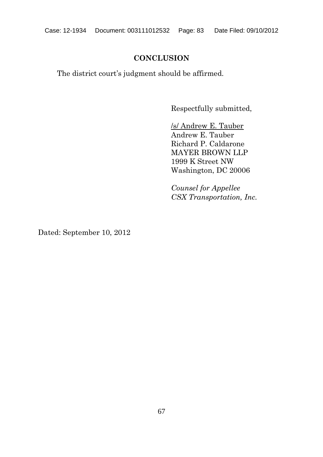# **CONCLUSION**

The district court's judgment should be affirmed.

Respectfully submitted,

/s/ Andrew E. Tauber Andrew E. Tauber Richard P. Caldarone MAYER BROWN LLP 1999 K Street NW Washington, DC 20006

*Counsel for Appellee CSX Transportation, Inc.*

Dated: September 10, 2012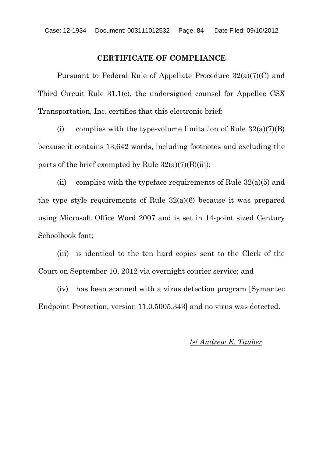#### **CERTIFICATE OF COMPLIANCE**

Pursuant to Federal Rule of Appellate Procedure 32(a)(7)(C) and Third Circuit Rule 31.1(c), the undersigned counsel for Appellee CSX Transportation, Inc. certifies that this electronic brief:

(i) complies with the type-volume limitation of Rule  $32(a)(7)(B)$ because it contains 13,642 words, including footnotes and excluding the parts of the brief exempted by Rule  $32(a)(7)(B)(iii)$ ;

(ii) complies with the typeface requirements of Rule  $32(a)(5)$  and the type style requirements of Rule 32(a)(6) because it was prepared using Microsoft Office Word 2007 and is set in 14-point sized Century Schoolbook font;

(iii) is identical to the ten hard copies sent to the Clerk of the Court on September 10, 2012 via overnight courier service; and

(iv) has been scanned with a virus detection program [Symantec Endpoint Protection, version 11.0.5005.343] and no virus was detected.

# /s/ *Andrew E. Tauber*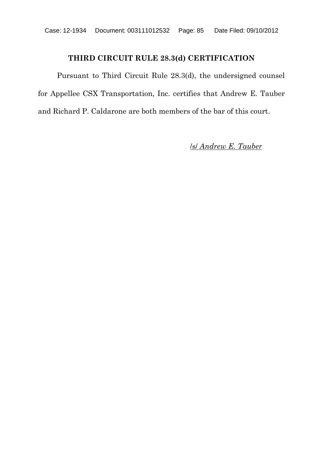# **THIRD CIRCUIT RULE 28.3(d) CERTIFICATION**

Pursuant to Third Circuit Rule 28.3(d), the undersigned counsel for Appellee CSX Transportation, Inc. certifies that Andrew E. Tauber and Richard P. Caldarone are both members of the bar of this court.

/s/ *Andrew E. Tauber*